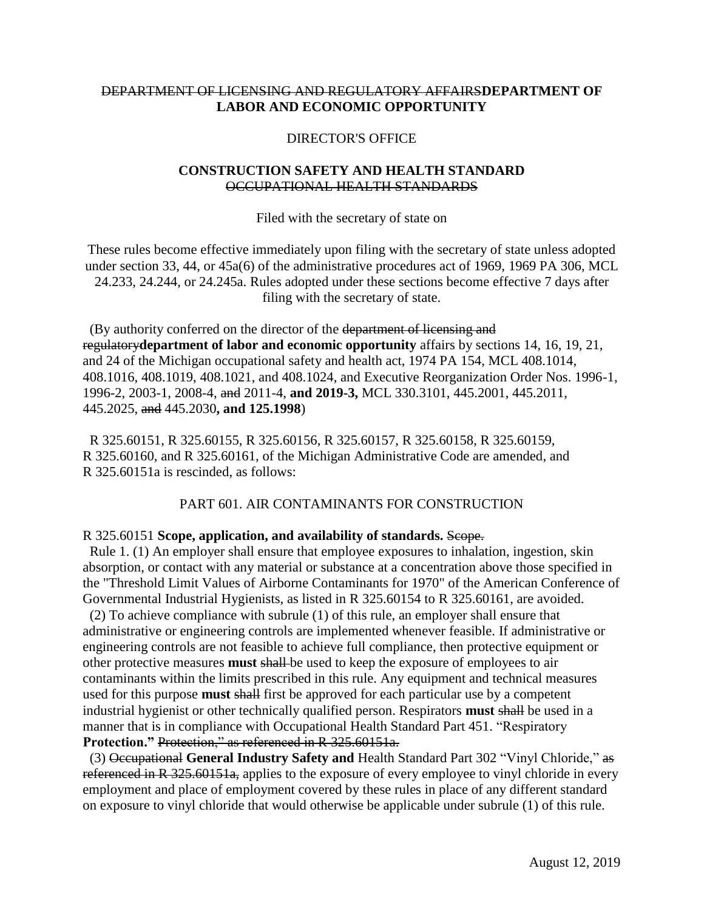## DEPARTMENT OF LICENSING AND REGULATORY AFFAIRS**DEPARTMENT OF LABOR AND ECONOMIC OPPORTUNITY**

#### DIRECTOR'S OFFICE

### **CONSTRUCTION SAFETY AND HEALTH STANDARD** OCCUPATIONAL HEALTH STANDARDS

#### Filed with the secretary of state on

These rules become effective immediately upon filing with the secretary of state unless adopted under section 33, 44, or 45a(6) of the administrative procedures act of 1969, 1969 PA 306, MCL 24.233, 24.244, or 24.245a. Rules adopted under these sections become effective 7 days after filing with the secretary of state.

 (By authority conferred on the director of the department of licensing and regulatory**department of labor and economic opportunity** affairs by sections 14, 16, 19, 21, and 24 of the Michigan occupational safety and health act, 1974 PA 154, MCL 408.1014, 408.1016, 408.1019, 408.1021, and 408.1024, and Executive Reorganization Order Nos. 1996-1, 1996-2, 2003-1, 2008-4, and 2011-4, **and 2019-3,** MCL 330.3101, 445.2001, 445.2011, 445.2025, and 445.2030**, and 125.1998**)

 R 325.60151, R 325.60155, R 325.60156, R 325.60157, R 325.60158, R 325.60159, R 325.60160, and R 325.60161, of the Michigan Administrative Code are amended, and R 325.60151a is rescinded, as follows:

### PART 601. AIR CONTAMINANTS FOR CONSTRUCTION

#### R 325.60151 **Scope, application, and availability of standards.** Scope.

 Rule 1. (1) An employer shall ensure that employee exposures to inhalation, ingestion, skin absorption, or contact with any material or substance at a concentration above those specified in the "Threshold Limit Values of Airborne Contaminants for 1970" of the American Conference of Governmental Industrial Hygienists, as listed in R 325.60154 to R 325.60161, are avoided.

 (2) To achieve compliance with subrule (1) of this rule, an employer shall ensure that administrative or engineering controls are implemented whenever feasible. If administrative or engineering controls are not feasible to achieve full compliance, then protective equipment or other protective measures **must** shall be used to keep the exposure of employees to air contaminants within the limits prescribed in this rule. Any equipment and technical measures used for this purpose **must** shall first be approved for each particular use by a competent industrial hygienist or other technically qualified person. Respirators **must** shall be used in a manner that is in compliance with Occupational Health Standard Part 451. "Respiratory **Protection."** Protection," as referenced in R 325.60151a.

 (3) Occupational **General Industry Safety and** Health Standard Part 302 "Vinyl Chloride," as referenced in R 325.60151a, applies to the exposure of every employee to vinyl chloride in every employment and place of employment covered by these rules in place of any different standard on exposure to vinyl chloride that would otherwise be applicable under subrule (1) of this rule.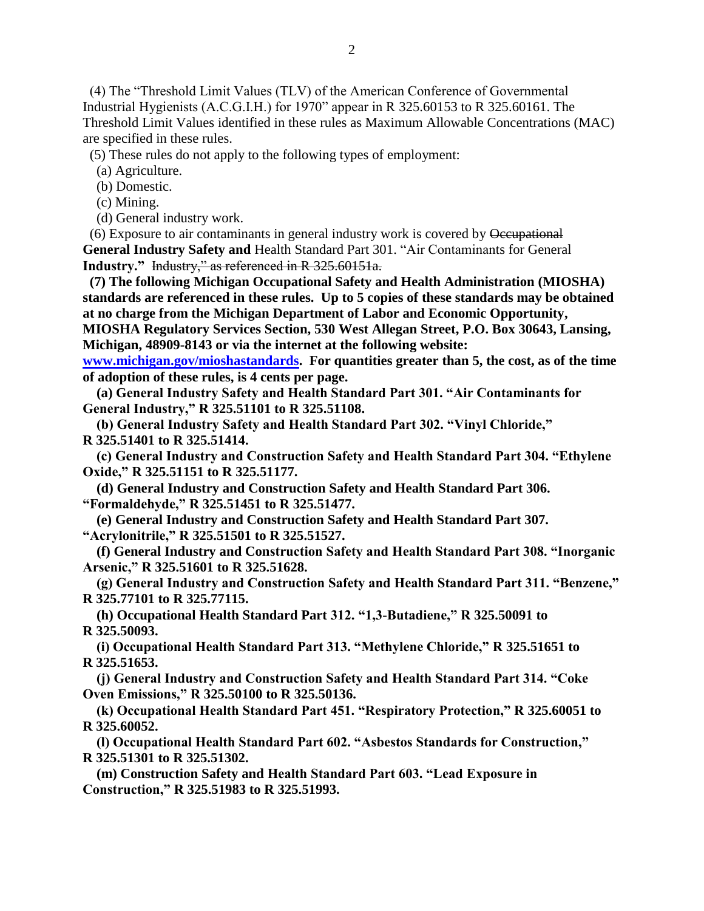(4) The "Threshold Limit Values (TLV) of the American Conference of Governmental Industrial Hygienists (A.C.G.I.H.) for 1970" appear in R 325.60153 to R 325.60161. The Threshold Limit Values identified in these rules as Maximum Allowable Concentrations (MAC) are specified in these rules.

(5) These rules do not apply to the following types of employment:

(a) Agriculture.

(b) Domestic.

(c) Mining.

(d) General industry work.

 (6) Exposure to air contaminants in general industry work is covered by Occupational **General Industry Safety and** Health Standard Part 301. "Air Contaminants for General **Industry."** Industry," as referenced in R 325.60151a.

 **(7) The following Michigan Occupational Safety and Health Administration (MIOSHA) standards are referenced in these rules. Up to 5 copies of these standards may be obtained at no charge from the Michigan Department of Labor and Economic Opportunity, MIOSHA Regulatory Services Section, 530 West Allegan Street, P.O. Box 30643, Lansing, Michigan, 48909-8143 or via the internet at the following website:** 

**[www.michigan.gov/mioshastandards.](http://www.michigan.gov/mioshastandards) For quantities greater than 5, the cost, as of the time of adoption of these rules, is 4 cents per page.**

 **(a) General Industry Safety and Health Standard Part 301. "Air Contaminants for General Industry," R 325.51101 to R 325.51108.**

 **(b) General Industry Safety and Health Standard Part 302. "Vinyl Chloride," R 325.51401 to R 325.51414.**

 **(c) General Industry and Construction Safety and Health Standard Part 304. "Ethylene Oxide," R 325.51151 to R 325.51177.**

 **(d) General Industry and Construction Safety and Health Standard Part 306. "Formaldehyde," R 325.51451 to R 325.51477.**

 **(e) General Industry and Construction Safety and Health Standard Part 307. "Acrylonitrile," R 325.51501 to R 325.51527.**

 **(f) General Industry and Construction Safety and Health Standard Part 308. "Inorganic Arsenic," R 325.51601 to R 325.51628.**

 **(g) General Industry and Construction Safety and Health Standard Part 311. "Benzene," R 325.77101 to R 325.77115.**

 **(h) Occupational Health Standard Part 312. "1,3-Butadiene," R 325.50091 to R 325.50093.**

 **(i) Occupational Health Standard Part 313. "Methylene Chloride," R 325.51651 to R 325.51653.**

 **(j) General Industry and Construction Safety and Health Standard Part 314. "Coke Oven Emissions," R 325.50100 to R 325.50136.**

 **(k) Occupational Health Standard Part 451. "Respiratory Protection," R 325.60051 to R 325.60052.**

 **(l) Occupational Health Standard Part 602. "Asbestos Standards for Construction," R 325.51301 to R 325.51302.**

 **(m) Construction Safety and Health Standard Part 603. "Lead Exposure in Construction," R 325.51983 to R 325.51993.**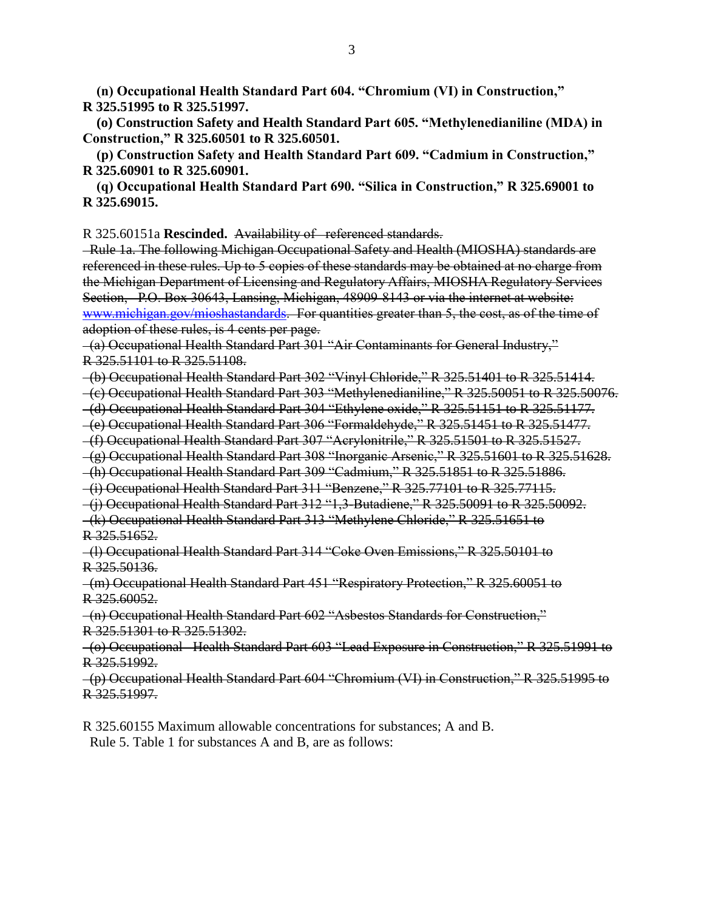**(n) Occupational Health Standard Part 604. "Chromium (VI) in Construction," R 325.51995 to R 325.51997.**

 **(o) Construction Safety and Health Standard Part 605. "Methylenedianiline (MDA) in Construction," R 325.60501 to R 325.60501.**

 **(p) Construction Safety and Health Standard Part 609. "Cadmium in Construction," R 325.60901 to R 325.60901.**

 **(q) Occupational Health Standard Part 690. "Silica in Construction," R 325.69001 to R 325.69015.**

R 325.60151a **Rescinded.** Availability of referenced standards.

 Rule 1a. The following Michigan Occupational Safety and Health (MIOSHA) standards are referenced in these rules. Up to 5 copies of these standards may be obtained at no charge from the Michigan Department of Licensing and Regulatory Affairs, MIOSHA Regulatory Services Section, P.O. Box 30643, Lansing, Michigan, 48909-8143 or via the internet at website: [www.michigan.gov/mioshastandards.](http://www.michigan.gov/mioshastandards) For quantities greater than 5, the cost, as of the time of adoption of these rules, is 4 cents per page.

 (a) Occupational Health Standard Part 301 "Air Contaminants for General Industry," R 325.51101 to R 325.51108.

(b) Occupational Health Standard Part 302 "Vinyl Chloride," R 325.51401 to R 325.51414.

(c) Occupational Health Standard Part 303 "Methylenedianiline," R 325.50051 to R 325.50076.

(d) Occupational Health Standard Part 304 "Ethylene oxide," R 325.51151 to R 325.51177.

(e) Occupational Health Standard Part 306 "Formaldehyde," R 325.51451 to R 325.51477.

(f) Occupational Health Standard Part 307 "Acrylonitrile," R 325.51501 to R 325.51527.

(g) Occupational Health Standard Part 308 "Inorganic Arsenic," R 325.51601 to R 325.51628.

(h) Occupational Health Standard Part 309 "Cadmium," R 325.51851 to R 325.51886.

(i) Occupational Health Standard Part 311 "Benzene," R 325.77101 to R 325.77115.

(j) Occupational Health Standard Part 312 "1,3-Butadiene," R 325.50091 to R 325.50092.

 (k) Occupational Health Standard Part 313 "Methylene Chloride," R 325.51651 to R 325.51652.

 (l) Occupational Health Standard Part 314 "Coke Oven Emissions," R 325.50101 to R 325.50136.

 (m) Occupational Health Standard Part 451 "Respiratory Protection," R 325.60051 to R 325.60052.

 (n) Occupational Health Standard Part 602 "Asbestos Standards for Construction," R 325.51301 to R 325.51302.

 (o) Occupational Health Standard Part 603 "Lead Exposure in Construction," R 325.51991 to R 325.51992.

 (p) Occupational Health Standard Part 604 "Chromium (VI) in Construction," R 325.51995 to R 325.51997.

R 325.60155 Maximum allowable concentrations for substances; A and B. Rule 5. Table 1 for substances A and B, are as follows: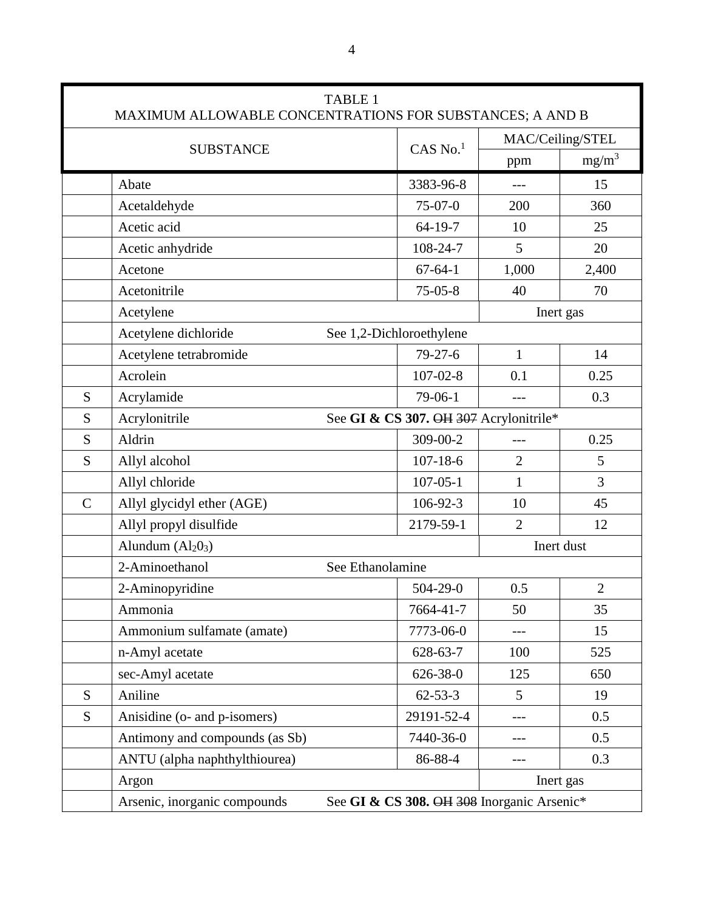|             | MAXIMUM ALLOWABLE CONCENTRATIONS FOR SUBSTANCES; A AND B                   | <b>TABLE 1</b>           |                        |                  |                |
|-------------|----------------------------------------------------------------------------|--------------------------|------------------------|------------------|----------------|
|             |                                                                            |                          |                        | MAC/Ceiling/STEL |                |
|             | <b>SUBSTANCE</b>                                                           |                          | $CAS$ No. <sup>1</sup> | ppm              | $mg/m^3$       |
|             | Abate                                                                      |                          | 3383-96-8              | $---$            | 15             |
|             | Acetaldehyde                                                               |                          | $75-07-0$              | 200              | 360            |
|             | Acetic acid                                                                |                          | $64-19-7$              | 10               | 25             |
|             | Acetic anhydride                                                           |                          | 108-24-7               | 5                | 20             |
|             | Acetone                                                                    |                          | $67 - 64 - 1$          | 1,000            | 2,400          |
|             | Acetonitrile                                                               |                          | $75-05-8$              | 40               | 70             |
|             | Acetylene                                                                  |                          |                        | Inert gas        |                |
|             | Acetylene dichloride                                                       | See 1,2-Dichloroethylene |                        |                  |                |
|             | Acetylene tetrabromide                                                     |                          | $79 - 27 - 6$          | $\mathbf{1}$     | 14             |
|             | Acrolein                                                                   |                          | $107 - 02 - 8$         | 0.1              | 0.25           |
| S           | Acrylamide                                                                 |                          | 79-06-1                |                  | 0.3            |
| S           | See GI & CS 307. OH 307 Acrylonitrile*<br>Acrylonitrile                    |                          |                        |                  |                |
| S           | Aldrin                                                                     |                          | 309-00-2               |                  | 0.25           |
| S           | Allyl alcohol                                                              |                          | $107 - 18 - 6$         | $\overline{2}$   | 5              |
|             | Allyl chloride                                                             |                          | $107 - 05 - 1$         | $\mathbf{1}$     | 3              |
| $\mathbf C$ | Allyl glycidyl ether (AGE)                                                 |                          | 106-92-3               | 10               | 45             |
|             | Allyl propyl disulfide                                                     |                          | 2179-59-1              | $\overline{2}$   | 12             |
|             | Alundum $(Al203)$                                                          |                          |                        |                  | Inert dust     |
|             | 2-Aminoethanol                                                             | See Ethanolamine         |                        |                  |                |
|             | 2-Aminopyridine                                                            |                          | $504 - 29 - 0$         | 0.5              | $\overline{2}$ |
|             | Ammonia                                                                    |                          | 7664-41-7              | 50               | 35             |
|             | Ammonium sulfamate (amate)                                                 |                          | 7773-06-0              |                  | 15             |
|             | n-Amyl acetate                                                             |                          | 628-63-7               | 100              | 525            |
|             | sec-Amyl acetate                                                           |                          | 626-38-0               | 125              | 650            |
| S           | Aniline                                                                    |                          | $62 - 53 - 3$          | 5                | 19             |
| S           | Anisidine (o- and p-isomers)                                               |                          | 29191-52-4             | ---              | 0.5            |
|             | Antimony and compounds (as Sb)                                             |                          | 7440-36-0              |                  | 0.5            |
|             | ANTU (alpha naphthylthiourea)                                              |                          | 86-88-4                |                  | 0.3            |
|             | Argon                                                                      |                          |                        |                  | Inert gas      |
|             | Arsenic, inorganic compounds<br>See GI & CS 308. OH 308 Inorganic Arsenic* |                          |                        |                  |                |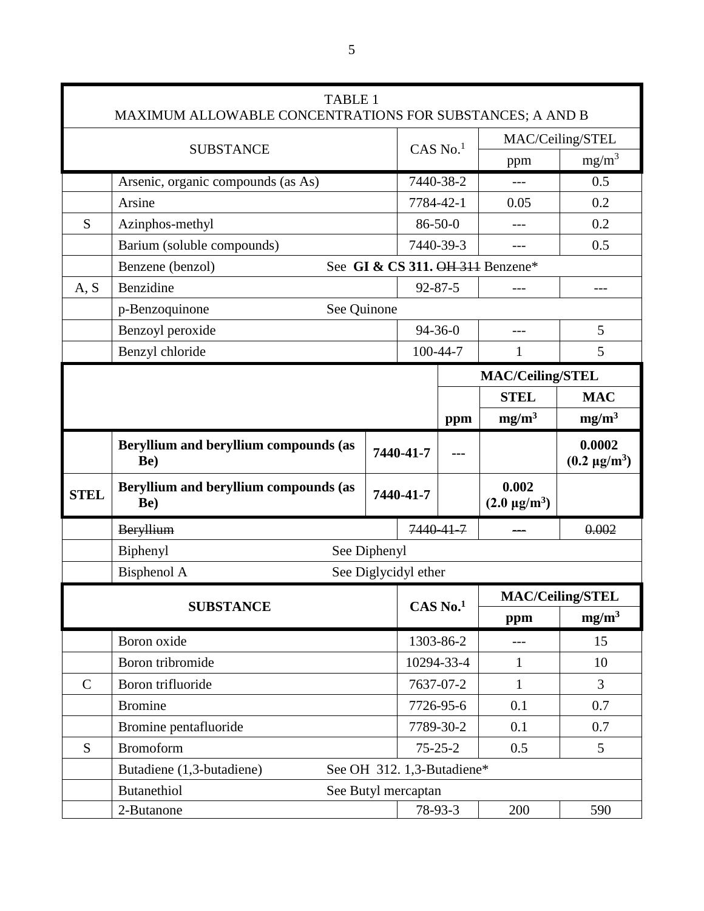|                         | <b>TABLE 1</b><br>MAXIMUM ALLOWABLE CONCENTRATIONS FOR SUBSTANCES; A AND B |                        |                            |                  |                                          |                                  |
|-------------------------|----------------------------------------------------------------------------|------------------------|----------------------------|------------------|------------------------------------------|----------------------------------|
| <b>SUBSTANCE</b>        |                                                                            |                        |                            | MAC/Ceiling/STEL |                                          |                                  |
|                         |                                                                            | $CAS$ No. <sup>1</sup> |                            | ppm              | $mg/m^3$                                 |                                  |
|                         | Arsenic, organic compounds (as As)                                         |                        | 7440-38-2                  |                  |                                          | 0.5                              |
|                         | Arsine                                                                     |                        | 7784-42-1                  |                  | 0.05                                     | 0.2                              |
| S                       | Azinphos-methyl                                                            |                        | $86 - 50 - 0$              |                  |                                          | 0.2                              |
|                         | Barium (soluble compounds)                                                 |                        | 7440-39-3                  |                  |                                          | 0.5                              |
|                         | Benzene (benzol)                                                           |                        |                            |                  | See GI & CS 311. OH 311 Benzene*         |                                  |
| A, S                    | Benzidine                                                                  |                        | $92 - 87 - 5$              |                  | $---$                                    | ---                              |
|                         | See Quinone<br>p-Benzoquinone                                              |                        |                            |                  |                                          |                                  |
|                         | Benzoyl peroxide                                                           |                        | $94 - 36 - 0$              |                  |                                          | 5                                |
|                         | Benzyl chloride                                                            |                        | 100-44-7                   |                  | 1                                        | 5                                |
| <b>MAC/Ceiling/STEL</b> |                                                                            |                        |                            |                  |                                          |                                  |
|                         |                                                                            |                        |                            |                  | <b>STEL</b>                              | <b>MAC</b>                       |
|                         |                                                                            |                        |                            | ppm              | mg/m <sup>3</sup>                        | mg/m <sup>3</sup>                |
|                         | Beryllium and beryllium compounds (as<br>Be)                               |                        | 7440-41-7                  |                  |                                          | 0.0002<br>$(0.2 \text{ µg/m}^3)$ |
| <b>STEL</b>             | Beryllium and beryllium compounds (as<br>Be)                               |                        | 7440-41-7                  |                  | 0.002<br>$(2.0 \text{ }\mu\text{g/m}^3)$ |                                  |
|                         | Beryllium                                                                  |                        | 7440-41-7                  |                  |                                          | 0.002                            |
|                         | See Diphenyl<br>Biphenyl                                                   |                        |                            |                  |                                          |                                  |
|                         | <b>Bisphenol A</b>                                                         |                        | See Diglycidyl ether       |                  |                                          |                                  |
|                         |                                                                            |                        |                            |                  | <b>MAC/Ceiling/STEL</b>                  |                                  |
|                         | <b>SUBSTANCE</b>                                                           |                        | CAS No.1                   |                  | ppm                                      | mg/m <sup>3</sup>                |
|                         | Boron oxide                                                                |                        | 1303-86-2                  |                  | $---$                                    | 15                               |
|                         | Boron tribromide                                                           |                        | 10294-33-4                 |                  | 1                                        | 10                               |
| $\mathbf C$             | Boron trifluoride                                                          |                        | 7637-07-2                  |                  | 1                                        | 3                                |
|                         | <b>Bromine</b>                                                             |                        | 7726-95-6                  |                  | 0.1                                      | 0.7                              |
|                         | Bromine pentafluoride                                                      |                        | 7789-30-2                  |                  | 0.1                                      | 0.7                              |
| S                       | <b>Bromoform</b>                                                           |                        | $75 - 25 - 2$              |                  | 0.5                                      | 5                                |
|                         | Butadiene (1,3-butadiene)                                                  |                        | See OH 312. 1,3-Butadiene* |                  |                                          |                                  |
|                         | <b>Butanethiol</b>                                                         |                        | See Butyl mercaptan        |                  |                                          |                                  |
|                         |                                                                            |                        |                            | 78-93-3          | 200                                      | 590                              |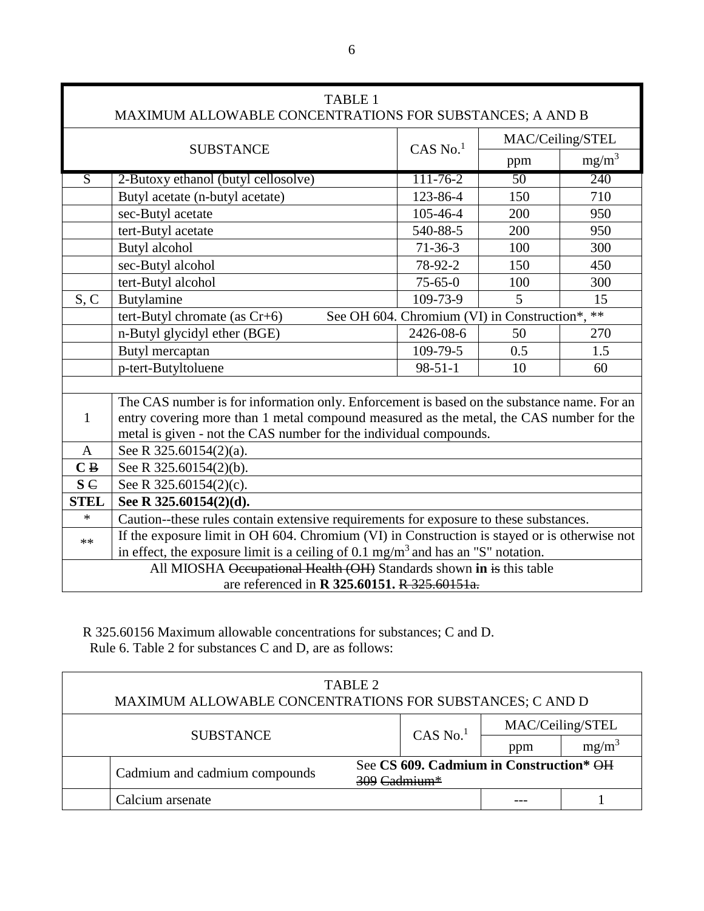| <b>TABLE 1</b><br>MAXIMUM ALLOWABLE CONCENTRATIONS FOR SUBSTANCES; A AND B |                                                                                              |                                                |                  |          |
|----------------------------------------------------------------------------|----------------------------------------------------------------------------------------------|------------------------------------------------|------------------|----------|
| <b>SUBSTANCE</b>                                                           |                                                                                              |                                                | MAC/Ceiling/STEL |          |
|                                                                            |                                                                                              | $CAS$ No. <sup>1</sup>                         | ppm              | $mg/m^3$ |
| $\overline{S}$                                                             | 2-Butoxy ethanol (butyl cellosolve)                                                          | $111 - 76 - 2$                                 | $\overline{50}$  | 240      |
|                                                                            | Butyl acetate (n-butyl acetate)                                                              | 123-86-4                                       | 150              | 710      |
|                                                                            | sec-Butyl acetate                                                                            | 105-46-4                                       | 200              | 950      |
|                                                                            | tert-Butyl acetate                                                                           | 540-88-5                                       | 200              | 950      |
|                                                                            | Butyl alcohol                                                                                | $71 - 36 - 3$                                  | 100              | 300      |
|                                                                            | sec-Butyl alcohol                                                                            | 78-92-2                                        | 150              | 450      |
|                                                                            | tert-Butyl alcohol                                                                           | $75 - 65 - 0$                                  | 100              | 300      |
| S, C                                                                       | Butylamine                                                                                   | 109-73-9                                       | 5                | 15       |
|                                                                            | tert-Butyl chromate (as $Cr+6$ )                                                             | See OH 604. Chromium (VI) in Construction*, ** |                  |          |
|                                                                            | n-Butyl glycidyl ether (BGE)                                                                 | 2426-08-6                                      | 50               | 270      |
|                                                                            | Butyl mercaptan                                                                              | 109-79-5                                       | 0.5              | 1.5      |
|                                                                            | p-tert-Butyltoluene                                                                          | $98 - 51 - 1$                                  | 10               | 60       |
|                                                                            |                                                                                              |                                                |                  |          |
|                                                                            | The CAS number is for information only. Enforcement is based on the substance name. For an   |                                                |                  |          |
| $\mathbf{1}$                                                               | entry covering more than 1 metal compound measured as the metal, the CAS number for the      |                                                |                  |          |
|                                                                            | metal is given - not the CAS number for the individual compounds.                            |                                                |                  |          |
| A                                                                          | See R 325.60154(2)(a).                                                                       |                                                |                  |          |
| C B                                                                        | See R 325.60154(2)(b).                                                                       |                                                |                  |          |
| $S \in$                                                                    | See R 325.60154(2)(c).                                                                       |                                                |                  |          |
| <b>STEL</b>                                                                | See R 325.60154(2)(d).                                                                       |                                                |                  |          |
| $\ast$                                                                     | Caution--these rules contain extensive requirements for exposure to these substances.        |                                                |                  |          |
| $**$                                                                       | If the exposure limit in OH 604. Chromium (VI) in Construction is stayed or is otherwise not |                                                |                  |          |
|                                                                            | in effect, the exposure limit is a ceiling of $0.1 \text{ mg/m}^3$ and has an "S" notation.  |                                                |                  |          |
|                                                                            | All MIOSHA Occupational Health (OH) Standards shown in is this table                         |                                                |                  |          |
| are referenced in R 325.60151. R 325.60151a.                               |                                                                                              |                                                |                  |          |

R 325.60156 Maximum allowable concentrations for substances; C and D. Rule 6. Table 2 for substances C and D, are as follows:

| TABLE 2<br>MAXIMUM ALLOWABLE CONCENTRATIONS FOR SUBSTANCES; C AND D |                               |                                                                       |     |                  |  |
|---------------------------------------------------------------------|-------------------------------|-----------------------------------------------------------------------|-----|------------------|--|
| <b>SUBSTANCE</b>                                                    |                               | $CAS$ No. $1$                                                         |     | MAC/Ceiling/STEL |  |
|                                                                     |                               |                                                                       | ppm | $mg/m^3$         |  |
|                                                                     | Cadmium and cadmium compounds | See CS 609. Cadmium in Construction* OH<br>$309$ Cadmium <sup>*</sup> |     |                  |  |
|                                                                     | Calcium arsenate              |                                                                       |     |                  |  |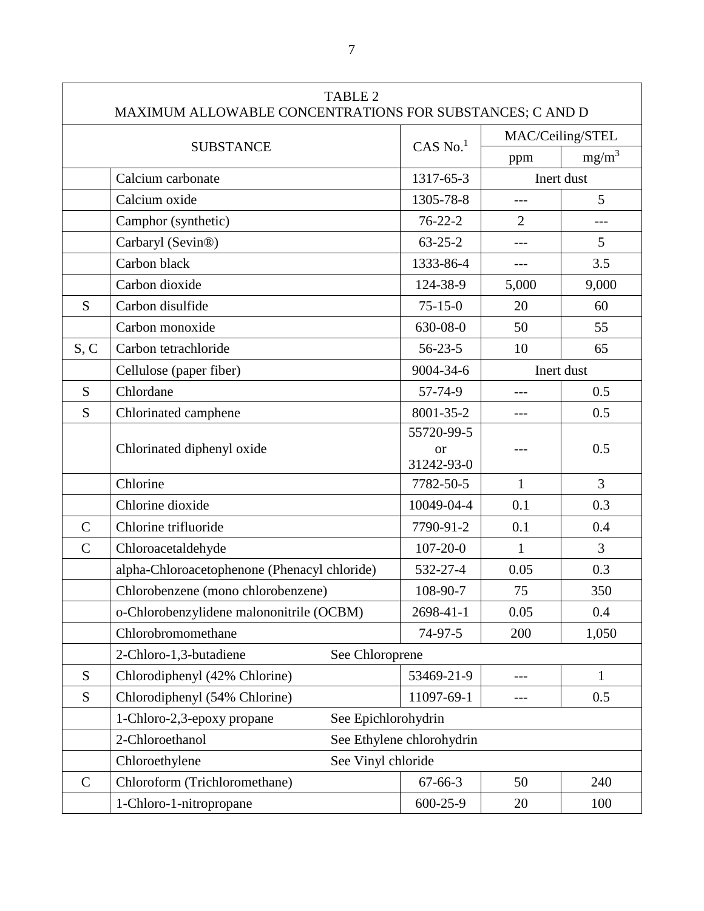|               | <b>TABLE 2</b><br>MAXIMUM ALLOWABLE CONCENTRATIONS FOR SUBSTANCES; C AND D |                           |                  |                |
|---------------|----------------------------------------------------------------------------|---------------------------|------------------|----------------|
|               |                                                                            |                           | MAC/Ceiling/STEL |                |
|               | <b>SUBSTANCE</b>                                                           | $CAS$ No. $1$             | ppm              | $mg/m^3$       |
|               | Calcium carbonate                                                          | 1317-65-3                 |                  | Inert dust     |
|               | Calcium oxide                                                              | 1305-78-8                 | $---$            | 5              |
|               | Camphor (synthetic)                                                        | $76 - 22 - 2$             | $\overline{2}$   | ---            |
|               | Carbaryl (Sevin®)                                                          | $63 - 25 - 2$             | $-$ --           | 5              |
|               | Carbon black                                                               | 1333-86-4                 | $---$            | 3.5            |
|               | Carbon dioxide                                                             | 124-38-9                  | 5,000            | 9,000          |
| S             | Carbon disulfide                                                           | $75 - 15 - 0$             | 20               | 60             |
|               | Carbon monoxide                                                            | 630-08-0                  | 50               | 55             |
| S, C          | Carbon tetrachloride                                                       | $56 - 23 - 5$             | 10               | 65             |
|               | Cellulose (paper fiber)                                                    | 9004-34-6                 |                  | Inert dust     |
| S             | Chlordane                                                                  | 57-74-9                   | $---$            | 0.5            |
| S             | Chlorinated camphene                                                       | 8001-35-2                 | $---$            | 0.5            |
|               |                                                                            | 55720-99-5                |                  | 0.5            |
|               | Chlorinated diphenyl oxide                                                 | <b>or</b><br>31242-93-0   |                  |                |
|               | Chlorine                                                                   | 7782-50-5                 | $\mathbf{1}$     | $\overline{3}$ |
|               | Chlorine dioxide                                                           | 10049-04-4                | 0.1              | 0.3            |
| $\mathcal{C}$ | Chlorine trifluoride                                                       | 7790-91-2                 | 0.1              | 0.4            |
| $\mathcal{C}$ | Chloroacetaldehyde                                                         | $107 - 20 - 0$            | $\mathbf{1}$     | $\overline{3}$ |
|               | alpha-Chloroacetophenone (Phenacyl chloride)                               | 532-27-4                  | 0.05             | 0.3            |
|               | Chlorobenzene (mono chlorobenzene)                                         | 108-90-7                  | 75               | 350            |
|               | o-Chlorobenzylidene malononitrile (OCBM)                                   | 2698-41-1                 | 0.05             | 0.4            |
|               | Chlorobromomethane                                                         | 74-97-5                   | 200              | 1,050          |
|               | 2-Chloro-1,3-butadiene<br>See Chloroprene                                  |                           |                  |                |
| S             | Chlorodiphenyl (42% Chlorine)                                              | 53469-21-9                | $---$            | $\mathbf{1}$   |
| S             | Chlorodiphenyl (54% Chlorine)                                              | 11097-69-1                | ---              | 0.5            |
|               | 1-Chloro-2,3-epoxy propane<br>See Epichlorohydrin                          |                           |                  |                |
|               | 2-Chloroethanol                                                            | See Ethylene chlorohydrin |                  |                |
|               | Chloroethylene<br>See Vinyl chloride                                       |                           |                  |                |
| $\mathsf{C}$  | Chloroform (Trichloromethane)                                              | $67 - 66 - 3$             | 50               | 240            |
|               | 1-Chloro-1-nitropropane                                                    | $600 - 25 - 9$            | 20               | 100            |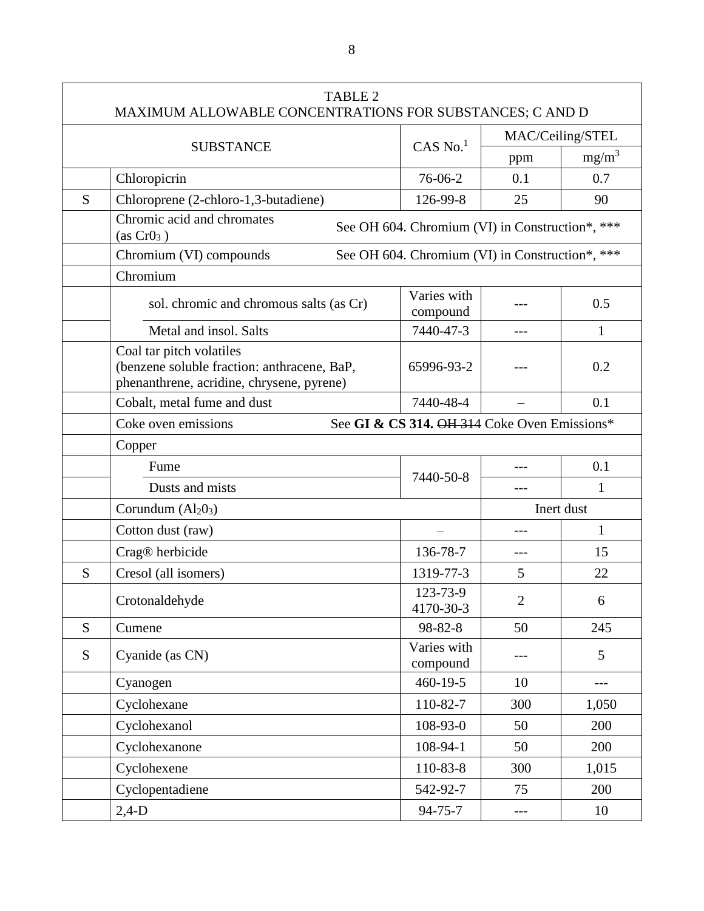|   | <b>TABLE 2</b><br>MAXIMUM ALLOWABLE CONCENTRATIONS FOR SUBSTANCES; C AND D                                           |                                                 |                  |              |
|---|----------------------------------------------------------------------------------------------------------------------|-------------------------------------------------|------------------|--------------|
|   |                                                                                                                      |                                                 | MAC/Ceiling/STEL |              |
|   | <b>SUBSTANCE</b>                                                                                                     | $CAS$ No. $1$                                   | ppm              | $mg/m^3$     |
|   | Chloropicrin                                                                                                         | 76-06-2                                         | 0.1              | 0.7          |
| S | Chloroprene (2-chloro-1,3-butadiene)                                                                                 | 126-99-8                                        | 25               | 90           |
|   | Chromic acid and chromates<br>(as CrO <sub>3</sub> )                                                                 | See OH 604. Chromium (VI) in Construction*, *** |                  |              |
|   | Chromium (VI) compounds                                                                                              | See OH 604. Chromium (VI) in Construction*, *** |                  |              |
|   | Chromium                                                                                                             |                                                 |                  |              |
|   | sol. chromic and chromous salts (as Cr)                                                                              | Varies with<br>compound                         |                  | 0.5          |
|   | Metal and insol. Salts                                                                                               | 7440-47-3                                       | $---$            | 1            |
|   | Coal tar pitch volatiles<br>(benzene soluble fraction: anthracene, BaP,<br>phenanthrene, acridine, chrysene, pyrene) | 65996-93-2                                      |                  | 0.2          |
|   | Cobalt, metal fume and dust                                                                                          | 7440-48-4                                       |                  | 0.1          |
|   | Coke oven emissions                                                                                                  | See GI & CS 314. OH 314 Coke Oven Emissions*    |                  |              |
|   | Copper                                                                                                               |                                                 |                  |              |
|   | Fume                                                                                                                 | 7440-50-8                                       |                  | 0.1          |
|   | Dusts and mists                                                                                                      |                                                 |                  | 1            |
|   | Corundum $(Al203)$                                                                                                   | Inert dust                                      |                  |              |
|   | Cotton dust (raw)                                                                                                    |                                                 | $---$            | $\mathbf{1}$ |
|   | Crag® herbicide                                                                                                      | 136-78-7                                        | $---$            | 15           |
| S | Cresol (all isomers)                                                                                                 | 1319-77-3                                       | 5                | 22           |
|   | Crotonaldehyde                                                                                                       | 123-73-9<br>4170-30-3                           | $\overline{2}$   | 6            |
| S | Cumene                                                                                                               | 98-82-8                                         | 50               | 245          |
| S | Cyanide (as CN)                                                                                                      | Varies with<br>compound                         |                  | 5            |
|   | Cyanogen                                                                                                             | $460 - 19 - 5$                                  | 10               | $---$        |
|   | Cyclohexane                                                                                                          | 110-82-7                                        | 300              | 1,050        |
|   | Cyclohexanol                                                                                                         | 108-93-0                                        | 50               | 200          |
|   | Cyclohexanone                                                                                                        | 108-94-1                                        | 50               | 200          |
|   | Cyclohexene                                                                                                          | 110-83-8                                        | 300              | 1,015        |
|   | Cyclopentadiene                                                                                                      | 542-92-7                                        | 75               | 200          |
|   | $2,4-D$                                                                                                              | $94 - 75 - 7$                                   | ---              | 10           |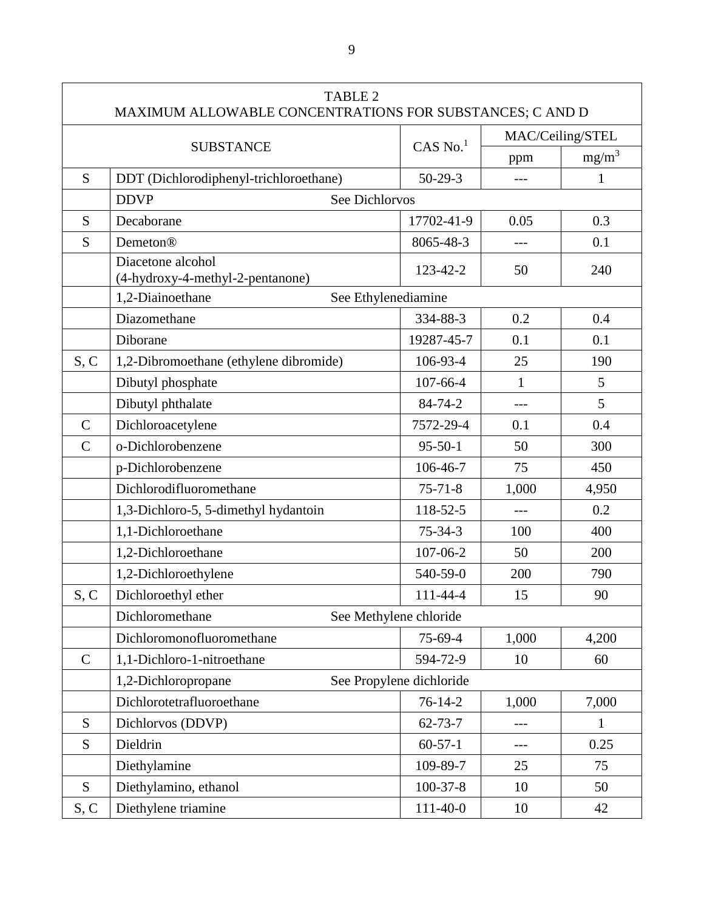|                | <b>TABLE 2</b><br>MAXIMUM ALLOWABLE CONCENTRATIONS FOR SUBSTANCES; C AND D |                          |                  |              |  |
|----------------|----------------------------------------------------------------------------|--------------------------|------------------|--------------|--|
|                |                                                                            |                          | MAC/Ceiling/STEL |              |  |
|                | <b>SUBSTANCE</b>                                                           | $CAS$ No. $1$            | ppm              | $mg/m^3$     |  |
| S              | DDT (Dichlorodiphenyl-trichloroethane)                                     | $50 - 29 - 3$            | $---$            | $\mathbf{1}$ |  |
|                | <b>DDVP</b><br>See Dichlorvos                                              |                          |                  |              |  |
| S              | Decaborane                                                                 | 17702-41-9               | 0.05             | 0.3          |  |
| S              | Demeton®                                                                   | 8065-48-3                |                  | 0.1          |  |
|                | Diacetone alcohol<br>(4-hydroxy-4-methyl-2-pentanone)                      | 123-42-2                 | 50               | 240          |  |
|                | 1,2-Diainoethane<br>See Ethylenediamine                                    |                          |                  |              |  |
|                | Diazomethane                                                               | 334-88-3                 | 0.2              | 0.4          |  |
|                | Diborane                                                                   | 19287-45-7               | 0.1              | 0.1          |  |
| S, C           | 1,2-Dibromoethane (ethylene dibromide)                                     | 106-93-4                 | 25               | 190          |  |
|                | Dibutyl phosphate                                                          | $107 - 66 - 4$           | $\mathbf{1}$     | 5            |  |
|                | Dibutyl phthalate                                                          | 84-74-2                  | $---$            | 5            |  |
| $\mathcal{C}$  | Dichloroacetylene                                                          | 7572-29-4                | 0.1              | 0.4          |  |
| $\overline{C}$ | o-Dichlorobenzene                                                          | $95 - 50 - 1$            | 50               | 300          |  |
|                | p-Dichlorobenzene                                                          | 106-46-7                 | 75               | 450          |  |
|                | Dichlorodifluoromethane                                                    | $75 - 71 - 8$            | 1,000            | 4,950        |  |
|                | 1,3-Dichloro-5, 5-dimethyl hydantoin                                       | 118-52-5                 | $\frac{1}{2}$    | 0.2          |  |
|                | 1,1-Dichloroethane                                                         | $75 - 34 - 3$            | 100              | 400          |  |
|                | 1,2-Dichloroethane                                                         | 107-06-2                 | 50               | 200          |  |
|                | 1,2-Dichloroethylene                                                       | 540-59-0                 | 200              | 790          |  |
| S, C           | Dichloroethyl ether                                                        | 111-44-4                 | 15               | 90           |  |
|                | Dichloromethane                                                            | See Methylene chloride   |                  |              |  |
|                | Dichloromonofluoromethane                                                  | 75-69-4                  | 1,000            | 4,200        |  |
| $\mathbf C$    | 1,1-Dichloro-1-nitroethane                                                 | 594-72-9                 | 10               | 60           |  |
|                | 1,2-Dichloropropane                                                        | See Propylene dichloride |                  |              |  |
|                | Dichlorotetrafluoroethane                                                  | $76-14-2$                | 1,000            | 7,000        |  |
| S              | Dichlorvos (DDVP)                                                          | $62 - 73 - 7$            | $---$            | $\mathbf{1}$ |  |
| ${\bf S}$      | Dieldrin                                                                   | $60-57-1$                | ---              | 0.25         |  |
|                | Diethylamine                                                               | 109-89-7                 | 25               | 75           |  |
| S              | Diethylamino, ethanol                                                      | $100-37-8$               | 10               | 50           |  |
| S, C           | Diethylene triamine                                                        | $111-40-0$               | 10               | 42           |  |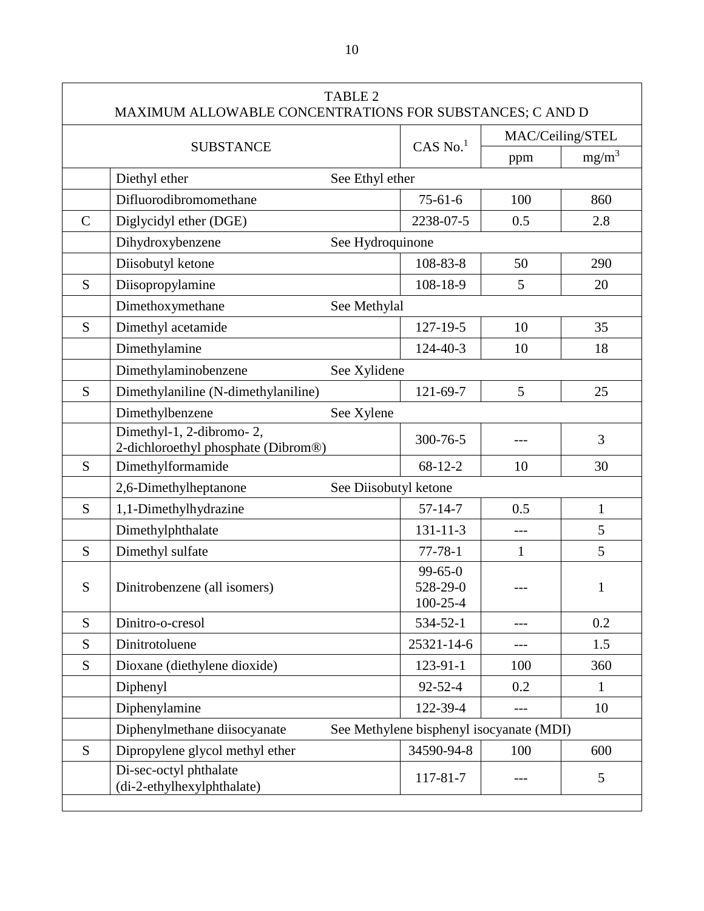|             | <b>TABLE 2</b><br>MAXIMUM ALLOWABLE CONCENTRATIONS FOR SUBSTANCES; C AND D |                                             |                  |                |
|-------------|----------------------------------------------------------------------------|---------------------------------------------|------------------|----------------|
|             |                                                                            |                                             | MAC/Ceiling/STEL |                |
|             | <b>SUBSTANCE</b>                                                           | $CAS$ No. $1$                               | ppm              | $mg/m^3$       |
|             | Diethyl ether<br>See Ethyl ether                                           |                                             |                  |                |
|             | Difluorodibromomethane                                                     | $75 - 61 - 6$                               | 100              | 860            |
| $\mathbf C$ | Diglycidyl ether (DGE)                                                     | 2238-07-5                                   | 0.5              | 2.8            |
|             | Dihydroxybenzene                                                           | See Hydroquinone                            |                  |                |
|             | Diisobutyl ketone                                                          | 108-83-8                                    | 50               | 290            |
| S           | Diisopropylamine                                                           | 108-18-9                                    | 5                | 20             |
|             | Dimethoxymethane<br>See Methylal                                           |                                             |                  |                |
| S           | Dimethyl acetamide                                                         | $127 - 19 - 5$                              | 10               | 35             |
|             | Dimethylamine                                                              | 124-40-3                                    | 10               | 18             |
|             | Dimethylaminobenzene<br>See Xylidene                                       |                                             |                  |                |
| S           | Dimethylaniline (N-dimethylaniline)                                        | 121-69-7                                    | 5                | 25             |
|             | Dimethylbenzene<br>See Xylene                                              |                                             |                  |                |
|             | Dimethyl-1, 2-dibromo-2,<br>2-dichloroethyl phosphate (Dibrom®)            | 300-76-5                                    |                  | 3              |
| S           | Dimethylformamide                                                          | $68-12-2$                                   | 10               | 30             |
|             | 2,6-Dimethylheptanone                                                      | See Diisobutyl ketone                       |                  |                |
| S           | 1,1-Dimethylhydrazine                                                      | $57 - 14 - 7$                               | 0.5              | $\mathbf{1}$   |
|             | Dimethylphthalate                                                          | $131 - 11 - 3$                              | $---$            | $\mathfrak{S}$ |
| S           | Dimethyl sulfate                                                           | $77 - 78 - 1$                               | $\mathbf{1}$     | 5              |
| S           | Dinitrobenzene (all isomers)                                               | $99 - 65 - 0$<br>528-29-0<br>$100 - 25 - 4$ |                  | 1              |
| S           | Dinitro-o-cresol                                                           | 534-52-1                                    |                  | 0.2            |
| S           | Dinitrotoluene                                                             | 25321-14-6                                  |                  | 1.5            |
| S           | Dioxane (diethylene dioxide)                                               | $123 - 91 - 1$                              | 100              | 360            |
|             | Diphenyl                                                                   | $92 - 52 - 4$                               | 0.2              | $\mathbf{1}$   |
|             | Diphenylamine                                                              | 122-39-4                                    | $---$            | 10             |
|             | Diphenylmethane diisocyanate                                               | See Methylene bisphenyl isocyanate (MDI)    |                  |                |
| S           | Dipropylene glycol methyl ether                                            | 34590-94-8                                  | 100              | 600            |
|             | Di-sec-octyl phthalate<br>(di-2-ethylhexylphthalate)                       | 117-81-7                                    |                  | 5              |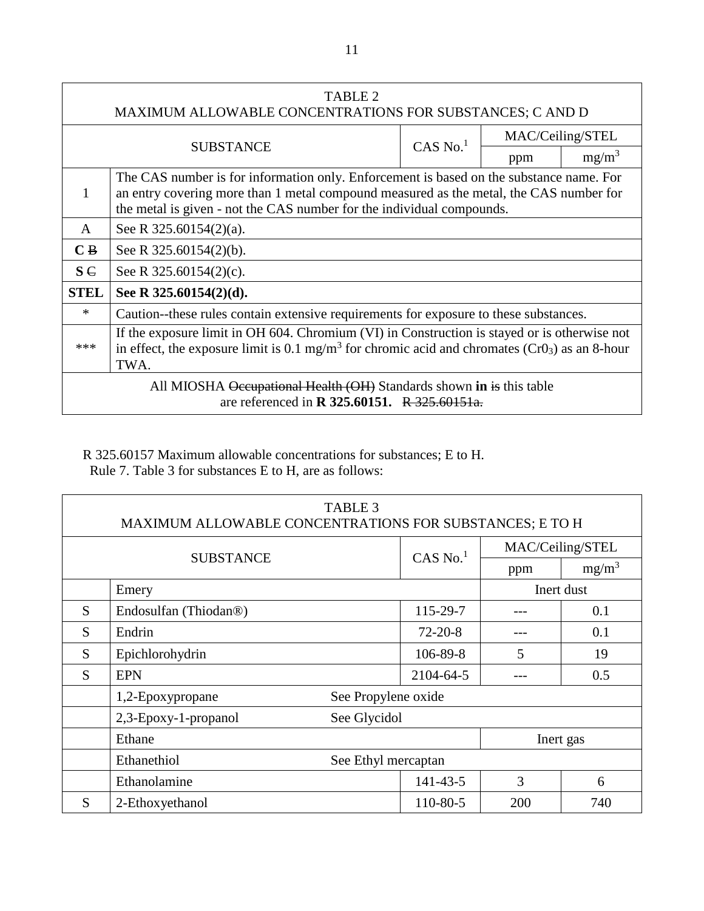| TABLE 2<br>MAXIMUM ALLOWABLE CONCENTRATIONS FOR SUBSTANCES; C AND D                                                                                                                                                                                             |                                                                                                                                                                                                                       |  |                  |          |
|-----------------------------------------------------------------------------------------------------------------------------------------------------------------------------------------------------------------------------------------------------------------|-----------------------------------------------------------------------------------------------------------------------------------------------------------------------------------------------------------------------|--|------------------|----------|
| $CAS$ No. $1$                                                                                                                                                                                                                                                   |                                                                                                                                                                                                                       |  | MAC/Ceiling/STEL |          |
|                                                                                                                                                                                                                                                                 | <b>SUBSTANCE</b>                                                                                                                                                                                                      |  | ppm              | $mg/m^3$ |
| The CAS number is for information only. Enforcement is based on the substance name. For<br>an entry covering more than 1 metal compound measured as the metal, the CAS number for<br>1<br>the metal is given - not the CAS number for the individual compounds. |                                                                                                                                                                                                                       |  |                  |          |
| A                                                                                                                                                                                                                                                               | See R $325.60154(2)(a)$ .                                                                                                                                                                                             |  |                  |          |
| $\overline{C}$ B                                                                                                                                                                                                                                                | See R $325.60154(2)(b)$ .                                                                                                                                                                                             |  |                  |          |
| $S \in$                                                                                                                                                                                                                                                         | See R $325.60154(2)(c)$ .                                                                                                                                                                                             |  |                  |          |
| <b>STEL</b>                                                                                                                                                                                                                                                     | See R 325.60154(2)(d).                                                                                                                                                                                                |  |                  |          |
| $\ast$                                                                                                                                                                                                                                                          | Caution-these rules contain extensive requirements for exposure to these substances.                                                                                                                                  |  |                  |          |
| ***                                                                                                                                                                                                                                                             | If the exposure limit in OH 604. Chromium (VI) in Construction is stayed or is otherwise not<br>in effect, the exposure limit is 0.1 mg/m <sup>3</sup> for chromic acid and chromates ( $Cr03$ ) as an 8-hour<br>TWA. |  |                  |          |
| All MIOSHA Occupational Health (OH) Standards shown in is this table<br>are referenced in <b>R</b> 325.60151. R 325.60151a.                                                                                                                                     |                                                                                                                                                                                                                       |  |                  |          |

R 325.60157 Maximum allowable concentrations for substances; E to H. Rule 7. Table 3 for substances E to H, are as follows:

| <b>TABLE 3</b><br>MAXIMUM ALLOWABLE CONCENTRATIONS FOR SUBSTANCES; E TO H |                                         |                |     |                  |  |
|---------------------------------------------------------------------------|-----------------------------------------|----------------|-----|------------------|--|
|                                                                           |                                         | CAS No. $1$    |     | MAC/Ceiling/STEL |  |
|                                                                           | <b>SUBSTANCE</b>                        |                | ppm | $mg/m^3$         |  |
| Emery                                                                     |                                         |                |     | Inert dust       |  |
| S.                                                                        | Endosulfan (Thiodan <sup>®)</sup>       | 115-29-7       |     | 0.1              |  |
| S                                                                         | Endrin                                  | $72 - 20 - 8$  |     | 0.1              |  |
| S                                                                         | Epichlorohydrin                         | $106 - 89 - 8$ | 5   | 19               |  |
| S                                                                         | <b>EPN</b>                              | 2104-64-5      |     | 0.5              |  |
|                                                                           | See Propylene oxide<br>1,2-Epoxypropane |                |     |                  |  |
|                                                                           | See Glycidol<br>2,3-Epoxy-1-propanol    |                |     |                  |  |
|                                                                           | Ethane<br>Inert gas                     |                |     |                  |  |
|                                                                           | Ethanethiol<br>See Ethyl mercaptan      |                |     |                  |  |
|                                                                           | Ethanolamine                            | $141 - 43 - 5$ | 3   | 6                |  |
| S                                                                         | 2-Ethoxyethanol                         | 110-80-5       | 200 | 740              |  |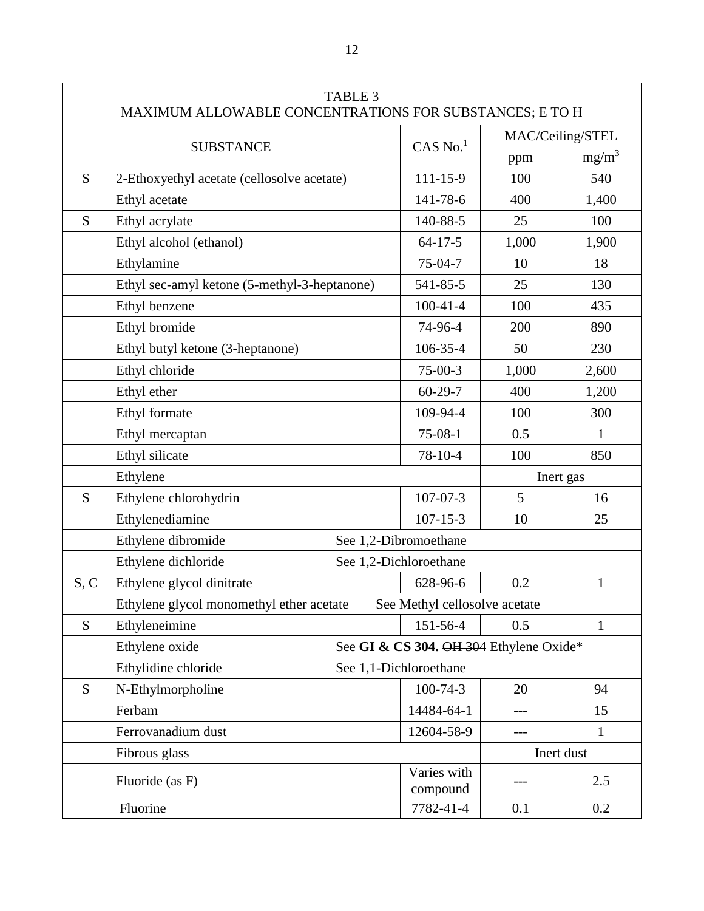|      | <b>TABLE 3</b><br>MAXIMUM ALLOWABLE CONCENTRATIONS FOR SUBSTANCES; E TO H |                                         |                  |              |
|------|---------------------------------------------------------------------------|-----------------------------------------|------------------|--------------|
|      |                                                                           |                                         | MAC/Ceiling/STEL |              |
|      | <b>SUBSTANCE</b>                                                          | $CAS$ No. <sup>1</sup>                  | ppm              | $mg/m^3$     |
| S    | 2-Ethoxyethyl acetate (cellosolve acetate)                                | 111-15-9                                | 100              | 540          |
|      | Ethyl acetate                                                             | 141-78-6                                | 400              | 1,400        |
| S    | Ethyl acrylate                                                            | 140-88-5                                | 25               | 100          |
|      | Ethyl alcohol (ethanol)                                                   | $64 - 17 - 5$                           | 1,000            | 1,900        |
|      | Ethylamine                                                                | $75-04-7$                               | 10               | 18           |
|      | Ethyl sec-amyl ketone (5-methyl-3-heptanone)                              | 541-85-5                                | 25               | 130          |
|      | Ethyl benzene                                                             | $100-41-4$                              | 100              | 435          |
|      | Ethyl bromide                                                             | 74-96-4                                 | 200              | 890          |
|      | Ethyl butyl ketone (3-heptanone)                                          | 106-35-4                                | 50               | 230          |
|      | Ethyl chloride                                                            | $75-00-3$                               | 1,000            | 2,600        |
|      | Ethyl ether                                                               | $60 - 29 - 7$                           | 400              | 1,200        |
|      | Ethyl formate                                                             | 109-94-4                                | 100              | 300          |
|      | Ethyl mercaptan                                                           | $75-08-1$                               | 0.5              | $\mathbf{1}$ |
|      | Ethyl silicate                                                            | 78-10-4                                 | 100              | 850          |
|      | Ethylene                                                                  |                                         |                  | Inert gas    |
| S    | Ethylene chlorohydrin                                                     | $107 - 07 - 3$                          | 5                | 16           |
|      | Ethylenediamine                                                           | $107 - 15 - 3$                          | 10               | 25           |
|      | Ethylene dibromide                                                        | See 1,2-Dibromoethane                   |                  |              |
|      | Ethylene dichloride                                                       | See 1,2-Dichloroethane                  |                  |              |
| S, C | Ethylene glycol dinitrate                                                 | 628-96-6                                | 0.2              | $\mathbf{1}$ |
|      | Ethylene glycol monomethyl ether acetate                                  | See Methyl cellosolve acetate           |                  |              |
| S    | Ethyleneimine                                                             | 151-56-4                                | 0.5              | $\mathbf{1}$ |
|      | Ethylene oxide                                                            | See GI & CS 304. OH 304 Ethylene Oxide* |                  |              |
|      | Ethylidine chloride                                                       | See 1,1-Dichloroethane                  |                  |              |
| S    | N-Ethylmorpholine                                                         | $100 - 74 - 3$                          | 20               | 94           |
|      | Ferbam                                                                    | 14484-64-1                              | ---              | 15           |
|      | Ferrovanadium dust                                                        | 12604-58-9                              |                  | $\mathbf{1}$ |
|      | Fibrous glass                                                             |                                         |                  | Inert dust   |
|      | Fluoride (as F)                                                           | Varies with<br>compound                 |                  | 2.5          |
|      | Fluorine                                                                  | 7782-41-4                               | 0.1              | 0.2          |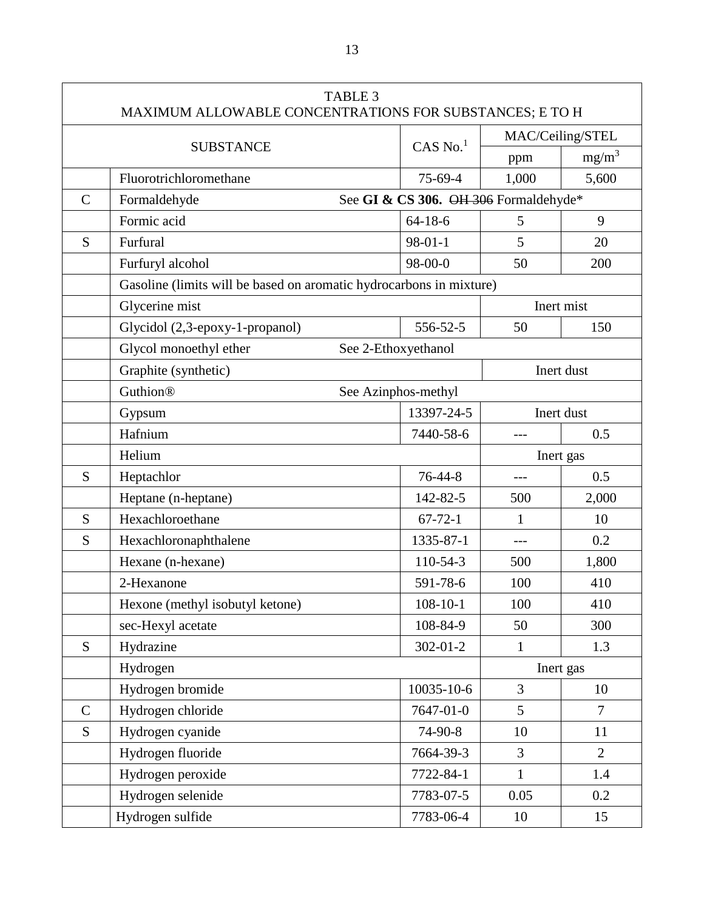|               | <b>TABLE 3</b><br>MAXIMUM ALLOWABLE CONCENTRATIONS FOR SUBSTANCES; E TO H |                                       |              |                  |
|---------------|---------------------------------------------------------------------------|---------------------------------------|--------------|------------------|
|               |                                                                           |                                       |              | MAC/Ceiling/STEL |
|               | <b>SUBSTANCE</b>                                                          | $CAS$ No. <sup>1</sup>                | ppm          | $mg/m^3$         |
|               | Fluorotrichloromethane                                                    | 75-69-4                               | 1,000        | 5,600            |
| $\mathcal{C}$ | Formaldehyde                                                              | See GI & CS 306. OH 306 Formaldehyde* |              |                  |
|               | Formic acid                                                               | $64 - 18 - 6$                         | 5            | 9                |
| S             | Furfural                                                                  | $98 - 01 - 1$                         | 5            | 20               |
|               | Furfuryl alcohol                                                          | 98-00-0                               | 50           | 200              |
|               | Gasoline (limits will be based on aromatic hydrocarbons in mixture)       |                                       |              |                  |
|               | Glycerine mist                                                            |                                       |              | Inert mist       |
|               | Glycidol (2,3-epoxy-1-propanol)                                           | 556-52-5                              | 50           | 150              |
|               | Glycol monoethyl ether                                                    | See 2-Ethoxyethanol                   |              |                  |
|               | Graphite (synthetic)                                                      |                                       |              | Inert dust       |
|               | <b>Guthion®</b>                                                           | See Azinphos-methyl                   |              |                  |
|               | Gypsum                                                                    | 13397-24-5                            |              | Inert dust       |
|               | Hafnium                                                                   | 7440-58-6                             |              | 0.5              |
|               | Helium                                                                    |                                       |              | Inert gas        |
| S             | Heptachlor                                                                | $76 - 44 - 8$                         | $---$        | 0.5              |
|               | Heptane (n-heptane)                                                       | 142-82-5                              | 500          | 2,000            |
| S             | Hexachloroethane                                                          | $67 - 72 - 1$                         | 1            | 10               |
| S             | Hexachloronaphthalene                                                     | 1335-87-1                             | $---$        | 0.2              |
|               | Hexane (n-hexane)                                                         | 110-54-3                              | 500          | 1,800            |
|               | 2-Hexanone                                                                | 591-78-6                              | 100          | 410              |
|               | Hexone (methyl isobutyl ketone)                                           | $108 - 10 - 1$                        | 100          | 410              |
|               | sec-Hexyl acetate                                                         | 108-84-9                              | 50           | 300              |
| S             | Hydrazine                                                                 | $302 - 01 - 2$                        | $\mathbf{1}$ | 1.3              |
|               | Hydrogen                                                                  |                                       |              | Inert gas        |
|               | Hydrogen bromide                                                          | 10035-10-6                            | 3            | 10               |
| $\mathsf{C}$  | Hydrogen chloride                                                         | 7647-01-0                             | 5            | $\tau$           |
| S             | Hydrogen cyanide                                                          | 74-90-8                               | 10           | 11               |
|               | Hydrogen fluoride                                                         | 7664-39-3                             | 3            | $\overline{2}$   |
|               | Hydrogen peroxide                                                         | 7722-84-1                             | 1            | 1.4              |
|               | Hydrogen selenide                                                         | 7783-07-5                             | 0.05         | 0.2              |
|               | Hydrogen sulfide                                                          | 7783-06-4                             | 10           | 15               |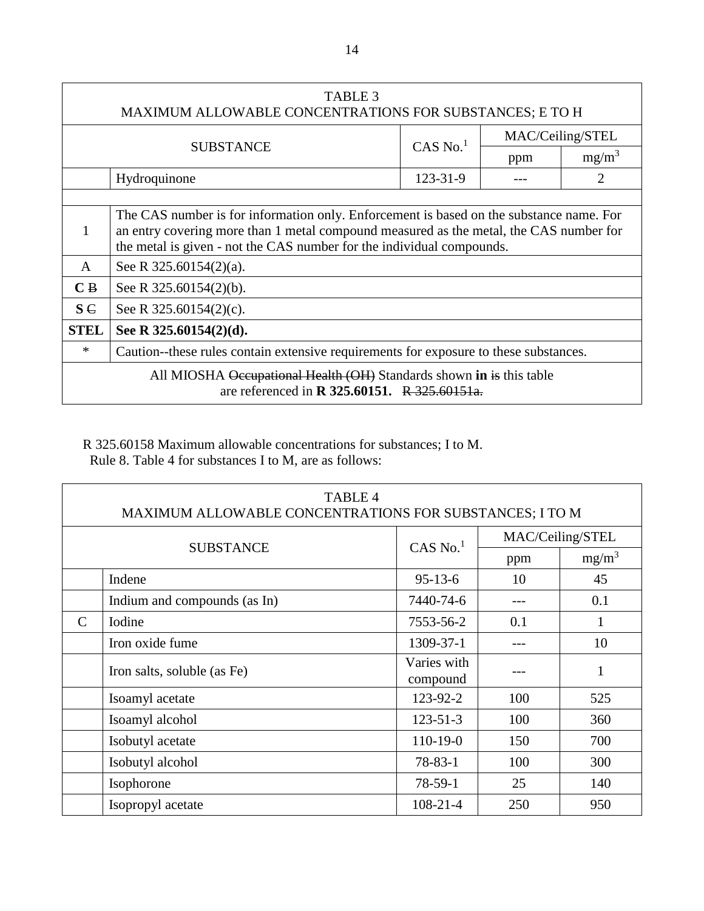| <b>TABLE 3</b><br>MAXIMUM ALLOWABLE CONCENTRATIONS FOR SUBSTANCES; E TO H                                                   |                                                                                                                                                                                                                                                            |                        |     |                  |
|-----------------------------------------------------------------------------------------------------------------------------|------------------------------------------------------------------------------------------------------------------------------------------------------------------------------------------------------------------------------------------------------------|------------------------|-----|------------------|
|                                                                                                                             |                                                                                                                                                                                                                                                            | $CAS$ No. <sup>1</sup> |     | MAC/Ceiling/STEL |
|                                                                                                                             | <b>SUBSTANCE</b>                                                                                                                                                                                                                                           |                        | ppm | $mg/m^3$         |
|                                                                                                                             | Hydroquinone                                                                                                                                                                                                                                               | 123-31-9               |     |                  |
|                                                                                                                             |                                                                                                                                                                                                                                                            |                        |     |                  |
| 1                                                                                                                           | The CAS number is for information only. Enforcement is based on the substance name. For<br>an entry covering more than 1 metal compound measured as the metal, the CAS number for<br>the metal is given - not the CAS number for the individual compounds. |                        |     |                  |
| $\mathsf{A}$                                                                                                                | See R $325.60154(2)(a)$ .                                                                                                                                                                                                                                  |                        |     |                  |
| $\overline{C}$ B                                                                                                            | See R $325.60154(2)(b)$ .                                                                                                                                                                                                                                  |                        |     |                  |
| $S \in$                                                                                                                     | See R $325.60154(2)(c)$ .                                                                                                                                                                                                                                  |                        |     |                  |
| <b>STEL</b>                                                                                                                 | See R $325.60154(2)(d)$ .                                                                                                                                                                                                                                  |                        |     |                  |
| $\ast$                                                                                                                      | Caution--these rules contain extensive requirements for exposure to these substances.                                                                                                                                                                      |                        |     |                  |
| All MIOSHA Occupational Health (OH) Standards shown in is this table<br>are referenced in <b>R</b> 325.60151. R 325.60151a. |                                                                                                                                                                                                                                                            |                        |     |                  |

R 325.60158 Maximum allowable concentrations for substances; I to M. Rule 8. Table 4 for substances I to M, are as follows:

| <b>TABLE 4</b><br>MAXIMUM ALLOWABLE CONCENTRATIONS FOR SUBSTANCES; I TO M |                              |                         |     |                  |
|---------------------------------------------------------------------------|------------------------------|-------------------------|-----|------------------|
|                                                                           |                              | $CAS$ No. <sup>1</sup>  |     | MAC/Ceiling/STEL |
|                                                                           | <b>SUBSTANCE</b>             |                         | ppm | $mg/m^3$         |
|                                                                           | Indene                       | $95-13-6$               | 10  | 45               |
|                                                                           | Indium and compounds (as In) | 7440-74-6               |     | 0.1              |
| $\mathsf{C}$                                                              | Iodine                       | 7553-56-2               | 0.1 |                  |
|                                                                           | Iron oxide fume              | 1309-37-1               |     | 10               |
|                                                                           | Iron salts, soluble (as Fe)  | Varies with<br>compound |     | 1                |
|                                                                           | Isoamyl acetate              | 123-92-2                | 100 | 525              |
|                                                                           | Isoamyl alcohol              | $123 - 51 - 3$          | 100 | 360              |
|                                                                           | Isobutyl acetate             | $110-19-0$              | 150 | 700              |
|                                                                           | Isobutyl alcohol             | $78 - 83 - 1$           | 100 | 300              |
|                                                                           | Isophorone                   | $78-59-1$               | 25  | 140              |
|                                                                           | Isopropyl acetate            | $108 - 21 - 4$          | 250 | 950              |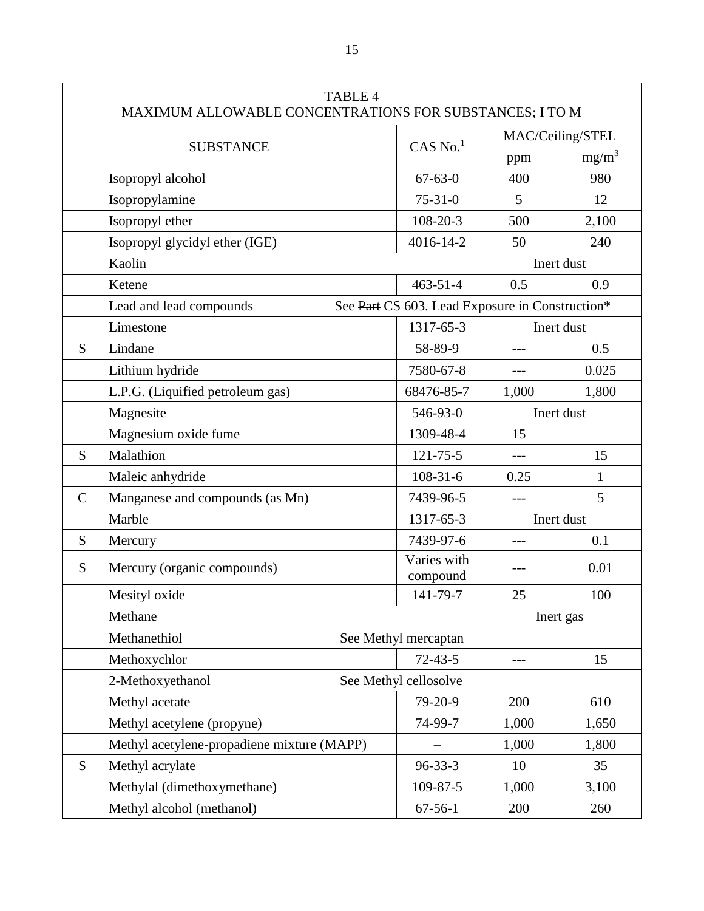| <b>TABLE 4</b><br>MAXIMUM ALLOWABLE CONCENTRATIONS FOR SUBSTANCES; I TO M |                                            |                                                 |            |                  |
|---------------------------------------------------------------------------|--------------------------------------------|-------------------------------------------------|------------|------------------|
|                                                                           |                                            |                                                 |            | MAC/Ceiling/STEL |
|                                                                           | <b>SUBSTANCE</b>                           | $CAS$ No. <sup>1</sup>                          | ppm        | $mg/m^3$         |
|                                                                           | Isopropyl alcohol                          | $67 - 63 - 0$                                   | 400        | 980              |
|                                                                           | Isopropylamine                             | $75 - 31 - 0$                                   | 5          | 12               |
|                                                                           | Isopropyl ether                            | 108-20-3                                        | 500        | 2,100            |
|                                                                           | Isopropyl glycidyl ether (IGE)             | 4016-14-2                                       | 50         | 240              |
|                                                                           | Kaolin                                     |                                                 |            | Inert dust       |
|                                                                           | Ketene                                     | $463 - 51 - 4$                                  | 0.5        | 0.9              |
|                                                                           | Lead and lead compounds                    | See Part CS 603. Lead Exposure in Construction* |            |                  |
|                                                                           | Limestone                                  | 1317-65-3                                       |            | Inert dust       |
| S                                                                         | Lindane                                    | 58-89-9                                         |            | 0.5              |
|                                                                           | Lithium hydride                            | 7580-67-8                                       | $---$      | 0.025            |
|                                                                           | L.P.G. (Liquified petroleum gas)           | 68476-85-7                                      | 1,000      | 1,800            |
|                                                                           | Magnesite                                  | 546-93-0                                        | Inert dust |                  |
|                                                                           | Magnesium oxide fume                       | 1309-48-4                                       | 15         |                  |
| S                                                                         | Malathion                                  | $121 - 75 - 5$                                  | $---$      | 15               |
|                                                                           | Maleic anhydride                           | $108 - 31 - 6$                                  | 0.25       | 1                |
| $\mathsf{C}$                                                              | Manganese and compounds (as Mn)            | 7439-96-5                                       | $---$      | 5                |
|                                                                           | Marble                                     | 1317-65-3                                       |            | Inert dust       |
| S                                                                         | Mercury                                    | 7439-97-6                                       |            | 0.1              |
| S                                                                         | Mercury (organic compounds)                | Varies with<br>compound                         |            | 0.01             |
|                                                                           | Mesityl oxide                              | 141-79-7                                        | 25         | 100              |
|                                                                           | Methane                                    |                                                 | Inert gas  |                  |
|                                                                           | Methanethiol                               | See Methyl mercaptan                            |            |                  |
|                                                                           | Methoxychlor                               | $72 - 43 - 5$                                   |            | 15               |
|                                                                           | 2-Methoxyethanol                           | See Methyl cellosolve                           |            |                  |
|                                                                           | Methyl acetate                             | 79-20-9                                         | 200        | 610              |
|                                                                           | Methyl acetylene (propyne)                 | 74-99-7                                         | 1,000      | 1,650            |
|                                                                           | Methyl acetylene-propadiene mixture (MAPP) |                                                 | 1,000      | 1,800            |
| S.                                                                        | Methyl acrylate                            | $96 - 33 - 3$                                   | 10         | 35               |
|                                                                           | Methylal (dimethoxymethane)                | 109-87-5                                        | 1,000      | 3,100            |
|                                                                           | Methyl alcohol (methanol)                  | $67 - 56 - 1$                                   | 200        | 260              |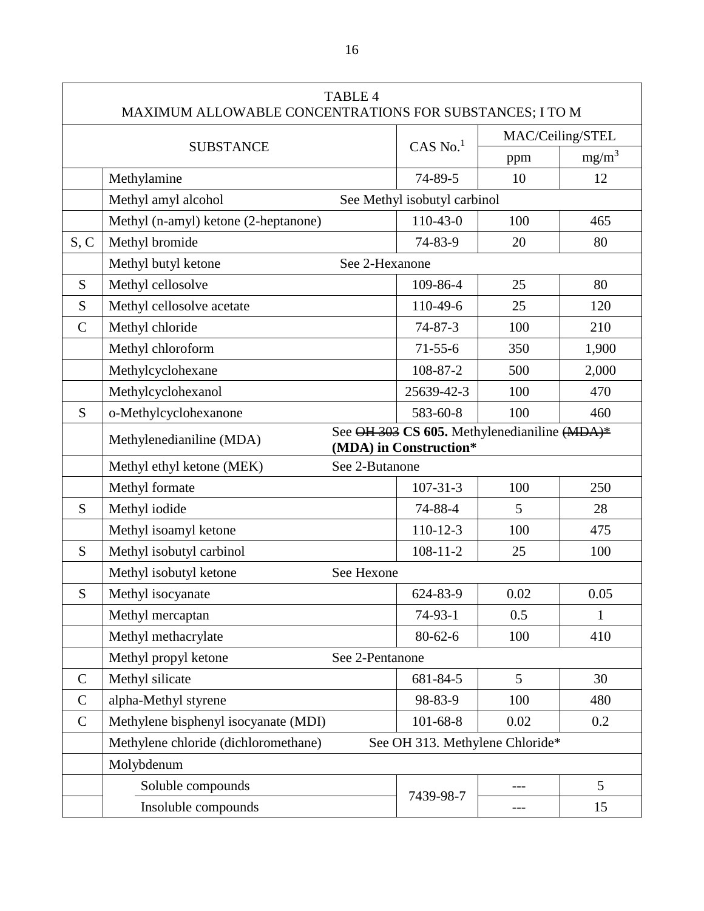| <b>TABLE 4</b><br>MAXIMUM ALLOWABLE CONCENTRATIONS FOR SUBSTANCES; I TO M |                                                                                                    |                                 |                  |          |
|---------------------------------------------------------------------------|----------------------------------------------------------------------------------------------------|---------------------------------|------------------|----------|
|                                                                           |                                                                                                    |                                 | MAC/Ceiling/STEL |          |
|                                                                           | <b>SUBSTANCE</b>                                                                                   | $CAS$ No. $1$                   | ppm              | $mg/m^3$ |
|                                                                           | Methylamine                                                                                        | 74-89-5                         | 10               | 12       |
|                                                                           | Methyl amyl alcohol                                                                                | See Methyl isobutyl carbinol    |                  |          |
|                                                                           | Methyl (n-amyl) ketone (2-heptanone)                                                               | $110-43-0$                      | 100              | 465      |
| S, C                                                                      | Methyl bromide                                                                                     | 74-83-9                         | 20               | 80       |
|                                                                           | Methyl butyl ketone<br>See 2-Hexanone                                                              |                                 |                  |          |
| S                                                                         | Methyl cellosolve                                                                                  | 109-86-4                        | 25               | 80       |
| S                                                                         | Methyl cellosolve acetate                                                                          | 110-49-6                        | 25               | 120      |
| $\mathcal{C}$                                                             | Methyl chloride                                                                                    | $74 - 87 - 3$                   | 100              | 210      |
|                                                                           | Methyl chloroform                                                                                  | $71 - 55 - 6$                   | 350              | 1,900    |
|                                                                           | Methylcyclohexane                                                                                  | 108-87-2                        | 500              | 2,000    |
|                                                                           | Methylcyclohexanol                                                                                 | 25639-42-3                      | 100              | 470      |
| S                                                                         | o-Methylcyclohexanone                                                                              | 583-60-8                        | 100              | 460      |
|                                                                           | See OH 303 CS 605. Methylenedianiline (MDA)*<br>Methylenedianiline (MDA)<br>(MDA) in Construction* |                                 |                  |          |
|                                                                           | Methyl ethyl ketone (MEK)<br>See 2-Butanone                                                        |                                 |                  |          |
|                                                                           | Methyl formate                                                                                     | $107 - 31 - 3$                  | 100              | 250      |
| S                                                                         | Methyl iodide                                                                                      | 74-88-4                         | 5                | 28       |
|                                                                           | Methyl isoamyl ketone                                                                              | $110 - 12 - 3$                  | 100              | 475      |
| S                                                                         | Methyl isobutyl carbinol                                                                           | $108 - 11 - 2$                  | 25               | 100      |
|                                                                           | Methyl isobutyl ketone<br>See Hexone                                                               |                                 |                  |          |
| S                                                                         | Methyl isocyanate                                                                                  | 624-83-9                        | 0.02             | 0.05     |
|                                                                           | Methyl mercaptan                                                                                   | $74-93-1$                       | 0.5              | 1        |
|                                                                           | Methyl methacrylate                                                                                | $80 - 62 - 6$                   | 100              | 410      |
|                                                                           | Methyl propyl ketone<br>See 2-Pentanone                                                            |                                 |                  |          |
| $\mathbf C$                                                               | Methyl silicate                                                                                    | 681-84-5                        | 5                | 30       |
| $\mathcal{C}$                                                             | alpha-Methyl styrene                                                                               | 98-83-9                         | 100              | 480      |
| $\mathsf{C}$                                                              | Methylene bisphenyl isocyanate (MDI)                                                               | $101 - 68 - 8$                  | 0.02             | 0.2      |
|                                                                           | Methylene chloride (dichloromethane)                                                               | See OH 313. Methylene Chloride* |                  |          |
|                                                                           | Molybdenum                                                                                         |                                 |                  |          |
|                                                                           | Soluble compounds                                                                                  | 7439-98-7                       |                  | 5        |
|                                                                           | Insoluble compounds                                                                                |                                 | $---$            | 15       |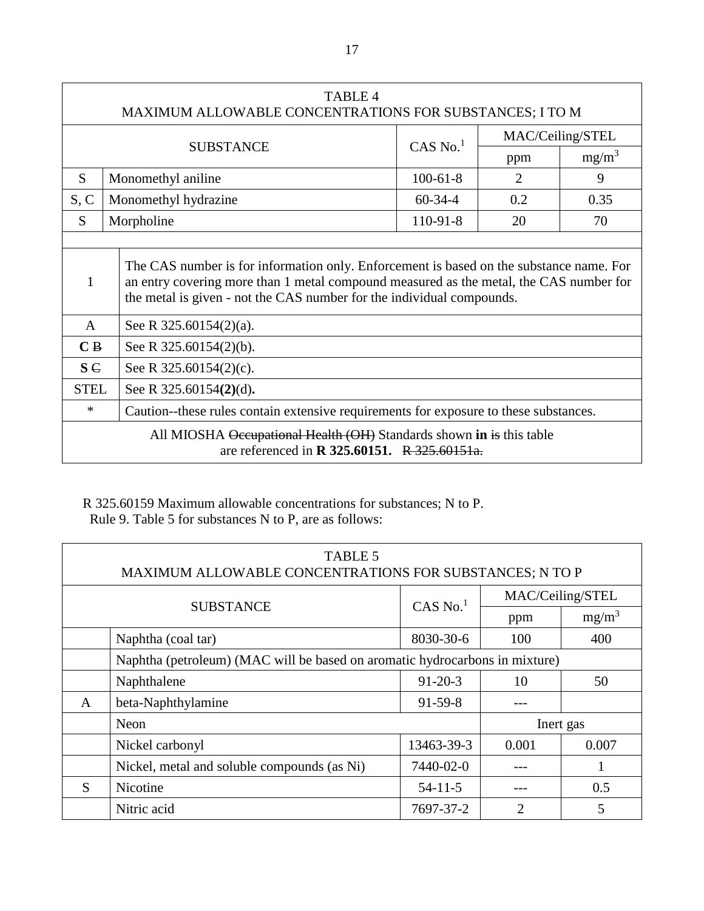| <b>TABLE 4</b><br>MAXIMUM ALLOWABLE CONCENTRATIONS FOR SUBSTANCES; I TO M                                                   |                                                                                                                                                                                                                                                            |            |                |          |
|-----------------------------------------------------------------------------------------------------------------------------|------------------------------------------------------------------------------------------------------------------------------------------------------------------------------------------------------------------------------------------------------------|------------|----------------|----------|
| MAC/Ceiling/STEL<br>$CAS$ No. <sup>1</sup>                                                                                  |                                                                                                                                                                                                                                                            |            |                |          |
|                                                                                                                             | <b>SUBSTANCE</b>                                                                                                                                                                                                                                           |            | ppm            | $mg/m^3$ |
| S.                                                                                                                          | Monomethyl aniline                                                                                                                                                                                                                                         | $100-61-8$ | $\overline{2}$ | 9        |
| S, C                                                                                                                        | Monomethyl hydrazine                                                                                                                                                                                                                                       | $60-34-4$  | 0.2            | 0.35     |
| S                                                                                                                           | Morpholine                                                                                                                                                                                                                                                 | 110-91-8   | 20             | 70       |
|                                                                                                                             |                                                                                                                                                                                                                                                            |            |                |          |
|                                                                                                                             | The CAS number is for information only. Enforcement is based on the substance name. For<br>an entry covering more than 1 metal compound measured as the metal, the CAS number for<br>the metal is given - not the CAS number for the individual compounds. |            |                |          |
| $\mathsf{A}$                                                                                                                | See R 325.60154(2)(a).                                                                                                                                                                                                                                     |            |                |          |
| C B                                                                                                                         | See R 325.60154(2)(b).                                                                                                                                                                                                                                     |            |                |          |
| $S \in$                                                                                                                     | See R 325.60154(2)(c).                                                                                                                                                                                                                                     |            |                |          |
| <b>STEL</b>                                                                                                                 | See R 325.60154(2)(d).                                                                                                                                                                                                                                     |            |                |          |
| $\ast$                                                                                                                      | Caution--these rules contain extensive requirements for exposure to these substances.                                                                                                                                                                      |            |                |          |
| All MIOSHA Occupational Health (OH) Standards shown in is this table<br>are referenced in <b>R</b> 325.60151. R 325.60151a. |                                                                                                                                                                                                                                                            |            |                |          |

## R 325.60159 Maximum allowable concentrations for substances; N to P. Rule 9. Table 5 for substances N to P, are as follows:

| <b>TABLE 5</b><br>MAXIMUM ALLOWABLE CONCENTRATIONS FOR SUBSTANCES; N TO P |                                                                             |               |           |          |  |
|---------------------------------------------------------------------------|-----------------------------------------------------------------------------|---------------|-----------|----------|--|
| MAC/Ceiling/STEL<br>CAS No. $1$<br><b>SUBSTANCE</b>                       |                                                                             |               |           |          |  |
|                                                                           |                                                                             |               | ppm       | $mg/m^3$ |  |
|                                                                           | Naphtha (coal tar)                                                          | 8030-30-6     | 100       | 400      |  |
|                                                                           | Naphtha (petroleum) (MAC will be based on aromatic hydrocarbons in mixture) |               |           |          |  |
|                                                                           | Naphthalene                                                                 | $91 - 20 - 3$ | 10        | 50       |  |
| A                                                                         | beta-Naphthylamine                                                          | $91-59-8$     |           |          |  |
|                                                                           | Neon                                                                        |               | Inert gas |          |  |
|                                                                           | Nickel carbonyl                                                             | 13463-39-3    | 0.001     | 0.007    |  |
|                                                                           | Nickel, metal and soluble compounds (as Ni)                                 | 7440-02-0     |           |          |  |
| S                                                                         | Nicotine                                                                    | $54 - 11 - 5$ |           | 0.5      |  |
|                                                                           | Nitric acid                                                                 | 7697-37-2     | 2         | 5        |  |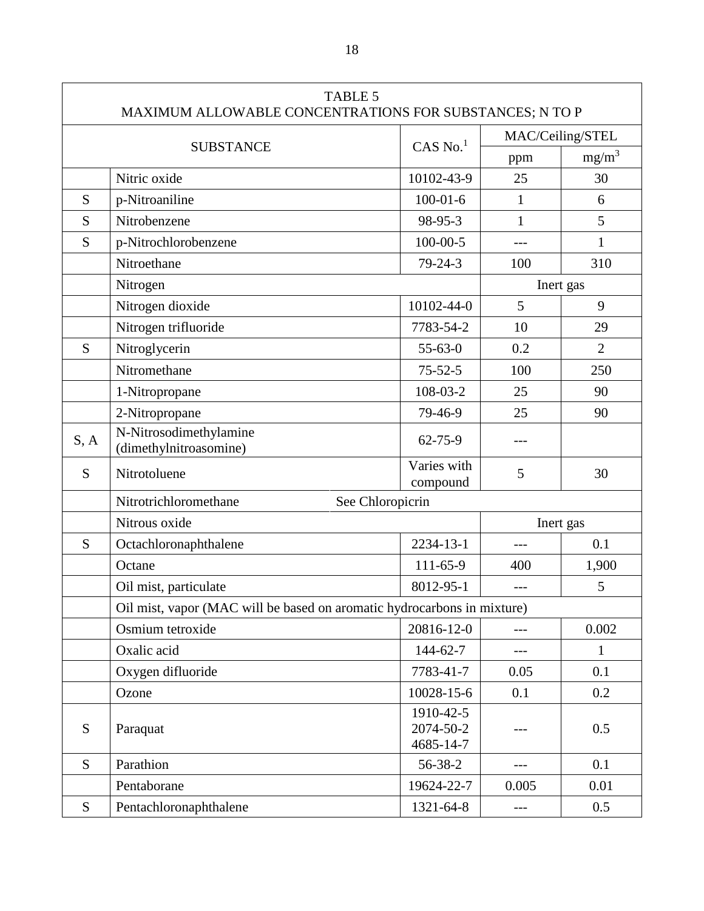|      | <b>TABLE 5</b><br>MAXIMUM ALLOWABLE CONCENTRATIONS FOR SUBSTANCES; N TO P |                                     |                  |                |
|------|---------------------------------------------------------------------------|-------------------------------------|------------------|----------------|
|      |                                                                           |                                     | MAC/Ceiling/STEL |                |
|      | <b>SUBSTANCE</b>                                                          | $CAS$ No. <sup>1</sup>              | ppm              | $mg/m^3$       |
|      | Nitric oxide                                                              | 10102-43-9                          | 25               | 30             |
| S    | p-Nitroaniline                                                            | $100 - 01 - 6$                      | 1                | 6              |
| S    | Nitrobenzene                                                              | 98-95-3                             | 1                | 5              |
| S    | p-Nitrochlorobenzene                                                      | $100 - 00 - 5$                      |                  | 1              |
|      | Nitroethane                                                               | $79 - 24 - 3$                       | 100              | 310            |
|      | Nitrogen                                                                  |                                     | Inert gas        |                |
|      | Nitrogen dioxide                                                          | 10102-44-0                          | 5                | 9              |
|      | Nitrogen trifluoride                                                      | 7783-54-2                           | 10               | 29             |
| S    | Nitroglycerin                                                             | $55 - 63 - 0$                       | 0.2              | $\overline{2}$ |
|      | Nitromethane                                                              | $75 - 52 - 5$                       | 100              | 250            |
|      | 1-Nitropropane                                                            | 108-03-2                            | 25               | 90             |
|      | 2-Nitropropane                                                            | 79-46-9                             | 25               | 90             |
| S, A | N-Nitrosodimethylamine<br>(dimethylnitroasomine)                          | $62 - 75 - 9$                       |                  |                |
| S    | Nitrotoluene                                                              | Varies with<br>compound             | 5                | 30             |
|      | See Chloropicrin<br>Nitrotrichloromethane                                 |                                     |                  |                |
|      | Nitrous oxide                                                             |                                     | Inert gas        |                |
| S    | Octachloronaphthalene                                                     | 2234-13-1                           | $---$            | 0.1            |
|      | Octane                                                                    | 111-65-9                            | 400              | 1,900          |
|      | Oil mist, particulate                                                     | 8012-95-1                           | $---$            | 5              |
|      | Oil mist, vapor (MAC will be based on aromatic hydrocarbons in mixture)   |                                     |                  |                |
|      | Osmium tetroxide                                                          | 20816-12-0                          | $ -$             | 0.002          |
|      | Oxalic acid                                                               | 144-62-7                            | ---              | $\mathbf{1}$   |
|      | Oxygen difluoride                                                         | 7783-41-7                           | 0.05             | 0.1            |
|      | Ozone                                                                     | 10028-15-6                          | 0.1              | 0.2            |
| S    | Paraquat                                                                  | 1910-42-5<br>2074-50-2<br>4685-14-7 |                  | 0.5            |
| S    | Parathion                                                                 | 56-38-2                             | ---              | 0.1            |
|      | Pentaborane                                                               | 19624-22-7                          | 0.005            | 0.01           |
| S    | Pentachloronaphthalene                                                    | 1321-64-8                           | $---$            | 0.5            |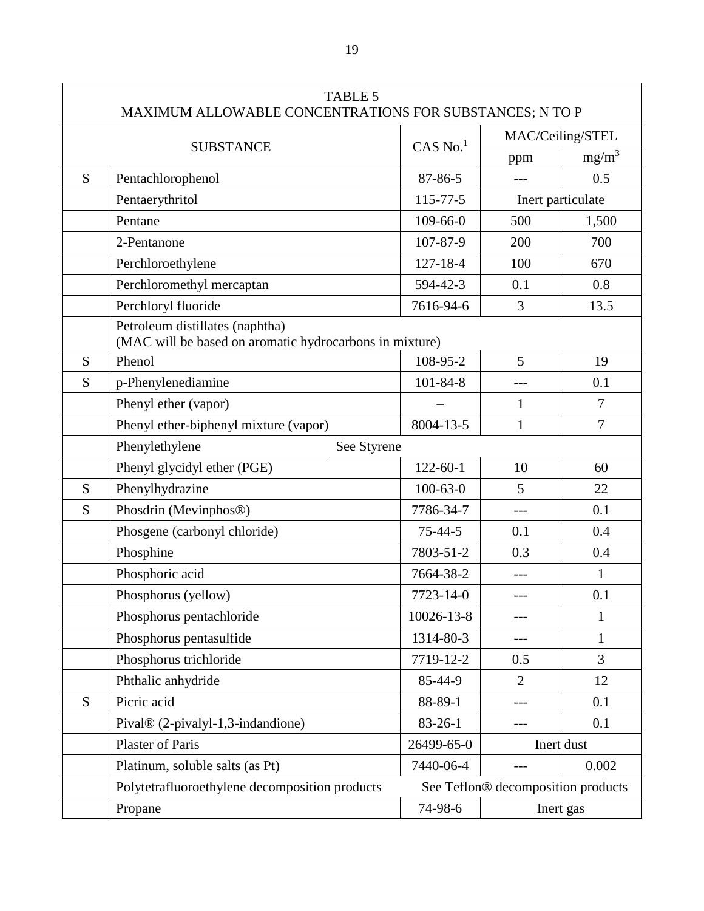| <b>TABLE 5</b><br>MAXIMUM ALLOWABLE CONCENTRATIONS FOR SUBSTANCES; N TO P |                                                                                            |                |                                    |                   |
|---------------------------------------------------------------------------|--------------------------------------------------------------------------------------------|----------------|------------------------------------|-------------------|
|                                                                           |                                                                                            |                | MAC/Ceiling/STEL                   |                   |
|                                                                           | <b>SUBSTANCE</b>                                                                           | $CAS$ No. $1$  | ppm                                | $mg/m^3$          |
| S                                                                         | Pentachlorophenol                                                                          | 87-86-5        | $---$                              | 0.5               |
|                                                                           | Pentaerythritol                                                                            | $115 - 77 - 5$ |                                    | Inert particulate |
|                                                                           | Pentane                                                                                    | $109 - 66 - 0$ | 500                                | 1,500             |
|                                                                           | 2-Pentanone                                                                                | 107-87-9       | 200                                | 700               |
|                                                                           | Perchloroethylene                                                                          | $127 - 18 - 4$ | 100                                | 670               |
|                                                                           | Perchloromethyl mercaptan                                                                  | 594-42-3       | 0.1                                | 0.8               |
|                                                                           | Perchloryl fluoride                                                                        | 7616-94-6      | 3                                  | 13.5              |
|                                                                           | Petroleum distillates (naphtha)<br>(MAC will be based on aromatic hydrocarbons in mixture) |                |                                    |                   |
| S                                                                         | Phenol                                                                                     | 108-95-2       | 5                                  | 19                |
| S                                                                         | p-Phenylenediamine                                                                         | $101 - 84 - 8$ |                                    | 0.1               |
|                                                                           | Phenyl ether (vapor)                                                                       |                | $\mathbf{1}$                       | $\overline{7}$    |
|                                                                           | Phenyl ether-biphenyl mixture (vapor)                                                      | 8004-13-5      | $\mathbf{1}$                       | $\overline{7}$    |
|                                                                           | Phenylethylene<br>See Styrene                                                              |                |                                    |                   |
|                                                                           | Phenyl glycidyl ether (PGE)                                                                | $122 - 60 - 1$ | 10                                 | 60                |
| S                                                                         | Phenylhydrazine                                                                            | $100 - 63 - 0$ | 5                                  | 22                |
| S                                                                         | Phosdrin (Mevinphos®)                                                                      | 7786-34-7      | $---$                              | 0.1               |
|                                                                           | Phosgene (carbonyl chloride)                                                               | $75 - 44 - 5$  | 0.1                                | 0.4               |
|                                                                           | Phosphine                                                                                  | 7803-51-2      | 0.3                                | 0.4               |
|                                                                           | Phosphoric acid                                                                            | 7664-38-2      |                                    | 1                 |
|                                                                           | Phosphorus (yellow)                                                                        | 7723-14-0      |                                    | 0.1               |
|                                                                           | Phosphorus pentachloride                                                                   | 10026-13-8     | ---                                | $\mathbf{1}$      |
|                                                                           | Phosphorus pentasulfide                                                                    | 1314-80-3      |                                    | $\mathbf{1}$      |
|                                                                           | Phosphorus trichloride                                                                     | 7719-12-2      | 0.5                                | $\overline{3}$    |
|                                                                           | Phthalic anhydride                                                                         | 85-44-9        | $\overline{2}$                     | 12                |
| S                                                                         | Picric acid                                                                                | 88-89-1        |                                    | 0.1               |
|                                                                           | Pival® (2-pivalyl-1,3-indandione)                                                          | $83 - 26 - 1$  |                                    | 0.1               |
|                                                                           | <b>Plaster of Paris</b>                                                                    | 26499-65-0     |                                    | Inert dust        |
|                                                                           | Platinum, soluble salts (as Pt)                                                            | 7440-06-4      |                                    | 0.002             |
|                                                                           | Polytetrafluoroethylene decomposition products                                             |                | See Teflon® decomposition products |                   |
|                                                                           | Propane                                                                                    | 74-98-6        |                                    | Inert gas         |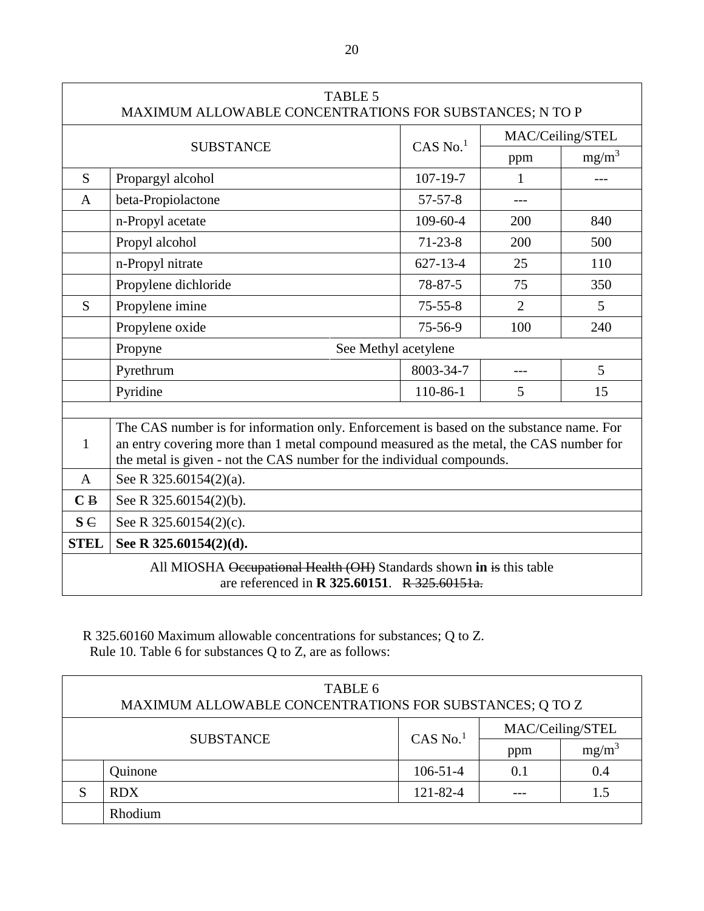| <b>TABLE 5</b><br>MAXIMUM ALLOWABLE CONCENTRATIONS FOR SUBSTANCES; N TO P                                                   |                                                                                                                                                                                                                                                            |                        |                  |                |
|-----------------------------------------------------------------------------------------------------------------------------|------------------------------------------------------------------------------------------------------------------------------------------------------------------------------------------------------------------------------------------------------------|------------------------|------------------|----------------|
|                                                                                                                             |                                                                                                                                                                                                                                                            |                        | MAC/Ceiling/STEL |                |
|                                                                                                                             | <b>SUBSTANCE</b>                                                                                                                                                                                                                                           | $CAS$ No. <sup>1</sup> | ppm              | $mg/m^3$       |
| S                                                                                                                           | Propargyl alcohol                                                                                                                                                                                                                                          | $107 - 19 - 7$         | 1                | ---            |
| A                                                                                                                           | beta-Propiolactone                                                                                                                                                                                                                                         | $57 - 57 - 8$          |                  |                |
|                                                                                                                             | n-Propyl acetate                                                                                                                                                                                                                                           | $109 - 60 - 4$         | 200              | 840            |
|                                                                                                                             | Propyl alcohol                                                                                                                                                                                                                                             | $71 - 23 - 8$          | 200              | 500            |
|                                                                                                                             | n-Propyl nitrate                                                                                                                                                                                                                                           | $627 - 13 - 4$         | 25               | 110            |
|                                                                                                                             | Propylene dichloride                                                                                                                                                                                                                                       | $78 - 87 - 5$          | 75               | 350            |
| S                                                                                                                           | Propylene imine                                                                                                                                                                                                                                            | $75 - 55 - 8$          | $\overline{2}$   | $\mathfrak{S}$ |
|                                                                                                                             | Propylene oxide                                                                                                                                                                                                                                            | 75-56-9                | 100              | 240            |
|                                                                                                                             | See Methyl acetylene<br>Propyne                                                                                                                                                                                                                            |                        |                  |                |
|                                                                                                                             | Pyrethrum                                                                                                                                                                                                                                                  | 8003-34-7              | $---$            | 5              |
|                                                                                                                             | Pyridine                                                                                                                                                                                                                                                   | 110-86-1               | 5                | 15             |
| 1                                                                                                                           | The CAS number is for information only. Enforcement is based on the substance name. For<br>an entry covering more than 1 metal compound measured as the metal, the CAS number for<br>the metal is given - not the CAS number for the individual compounds. |                        |                  |                |
| A                                                                                                                           | See R 325.60154(2)(a).                                                                                                                                                                                                                                     |                        |                  |                |
| C <sub>B</sub>                                                                                                              | See R 325.60154(2)(b).                                                                                                                                                                                                                                     |                        |                  |                |
| $S \in$                                                                                                                     | See R 325.60154(2)(c).                                                                                                                                                                                                                                     |                        |                  |                |
| <b>STEL</b>                                                                                                                 | See R 325.60154(2)(d).                                                                                                                                                                                                                                     |                        |                  |                |
| All MIOSHA Occupational Health (OH) Standards shown in is this table<br>are referenced in <b>R</b> 325.60151. R 325.60151a. |                                                                                                                                                                                                                                                            |                        |                  |                |

# R 325.60160 Maximum allowable concentrations for substances; Q to Z. Rule 10. Table 6 for substances Q to Z, are as follows:

| TABLE 6<br>MAXIMUM ALLOWABLE CONCENTRATIONS FOR SUBSTANCES; Q TO Z |                |                |     |                  |  |
|--------------------------------------------------------------------|----------------|----------------|-----|------------------|--|
| $CAS$ No. $1$                                                      |                |                |     | MAC/Ceiling/STEL |  |
| <b>SUBSTANCE</b>                                                   |                |                | ppm | $mg/m^3$         |  |
|                                                                    | <b>Juinone</b> | $106 - 51 - 4$ | 0.1 | 0.4              |  |
| S                                                                  | <b>RDX</b>     | 121-82-4       |     | 1.5              |  |
|                                                                    | Rhodium        |                |     |                  |  |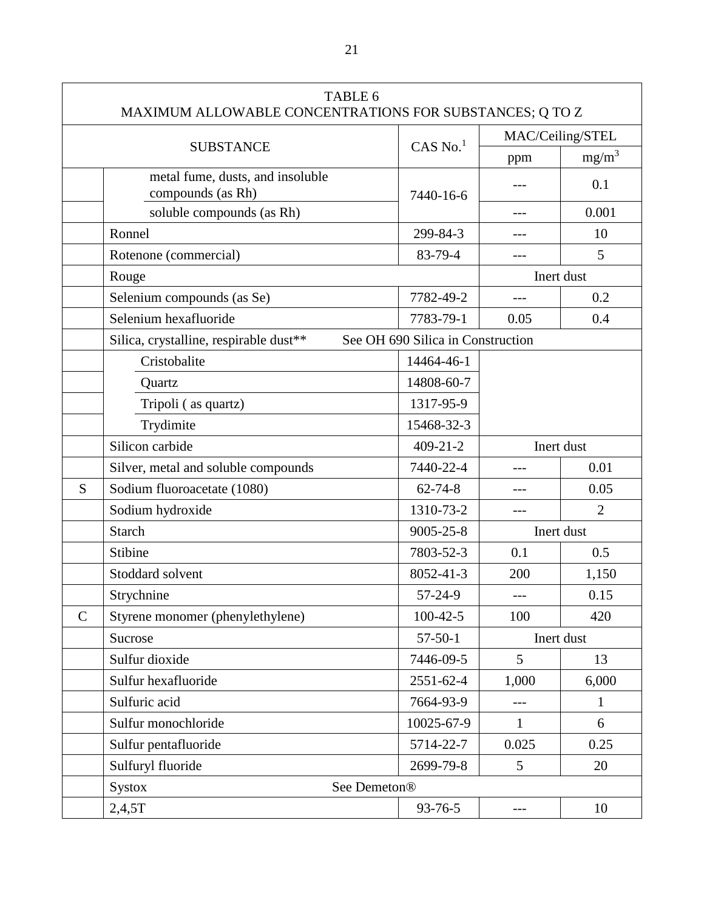| TABLE 6<br>MAXIMUM ALLOWABLE CONCENTRATIONS FOR SUBSTANCES; Q TO Z |                                                       |                                   |              |                  |
|--------------------------------------------------------------------|-------------------------------------------------------|-----------------------------------|--------------|------------------|
|                                                                    |                                                       |                                   |              | MAC/Ceiling/STEL |
|                                                                    | <b>SUBSTANCE</b>                                      | $CAS$ No. $1$                     | ppm          | $mg/m^3$         |
|                                                                    | metal fume, dusts, and insoluble<br>compounds (as Rh) | 7440-16-6                         |              | 0.1              |
|                                                                    | soluble compounds (as Rh)                             |                                   | $---$        | 0.001            |
|                                                                    | Ronnel                                                | 299-84-3                          | ---          | 10               |
|                                                                    | Rotenone (commercial)                                 | 83-79-4                           |              | 5                |
|                                                                    | Rouge                                                 |                                   |              | Inert dust       |
|                                                                    | Selenium compounds (as Se)                            | 7782-49-2                         | ---          | 0.2              |
|                                                                    | Selenium hexafluoride                                 | 7783-79-1                         | 0.05         | 0.4              |
|                                                                    | Silica, crystalline, respirable dust**                | See OH 690 Silica in Construction |              |                  |
|                                                                    | Cristobalite                                          | 14464-46-1                        |              |                  |
|                                                                    | Quartz                                                | 14808-60-7                        |              |                  |
|                                                                    | Tripoli (as quartz)                                   | 1317-95-9                         |              |                  |
|                                                                    | Trydimite                                             | 15468-32-3                        |              |                  |
|                                                                    | Silicon carbide                                       | $409 - 21 - 2$                    |              | Inert dust       |
|                                                                    | Silver, metal and soluble compounds                   | 7440-22-4                         | $---$        | 0.01             |
| S                                                                  | Sodium fluoroacetate (1080)                           | $62 - 74 - 8$                     |              | 0.05             |
|                                                                    | Sodium hydroxide                                      | 1310-73-2                         |              | $\overline{2}$   |
|                                                                    | <b>Starch</b>                                         | $9005 - 25 - 8$                   |              | Inert dust       |
|                                                                    | Stibine                                               | 7803-52-3                         | 0.1          | 0.5              |
|                                                                    | Stoddard solvent                                      | 8052-41-3                         | 200          | 1,150            |
|                                                                    | Strychnine                                            | 57-24-9                           |              | 0.15             |
| $\mathsf{C}$                                                       | Styrene monomer (phenylethylene)                      | $100-42-5$                        | 100          | 420              |
|                                                                    | Sucrose                                               | $57-50-1$                         | Inert dust   |                  |
|                                                                    | Sulfur dioxide                                        | 7446-09-5                         | 5            | 13               |
|                                                                    | Sulfur hexafluoride                                   | 2551-62-4                         | 1,000        | 6,000            |
|                                                                    | Sulfuric acid                                         | 7664-93-9                         | $---$        | 1                |
|                                                                    | Sulfur monochloride                                   | 10025-67-9                        | $\mathbf{1}$ | 6                |
|                                                                    | Sulfur pentafluoride                                  | 5714-22-7                         | 0.025        | 0.25             |
|                                                                    | Sulfuryl fluoride                                     | 2699-79-8                         | 5            | 20               |
|                                                                    | See Demeton <sup>®</sup><br><b>Systox</b>             |                                   |              |                  |
|                                                                    | 2,4,5T                                                | 93-76-5                           | $---$        | 10               |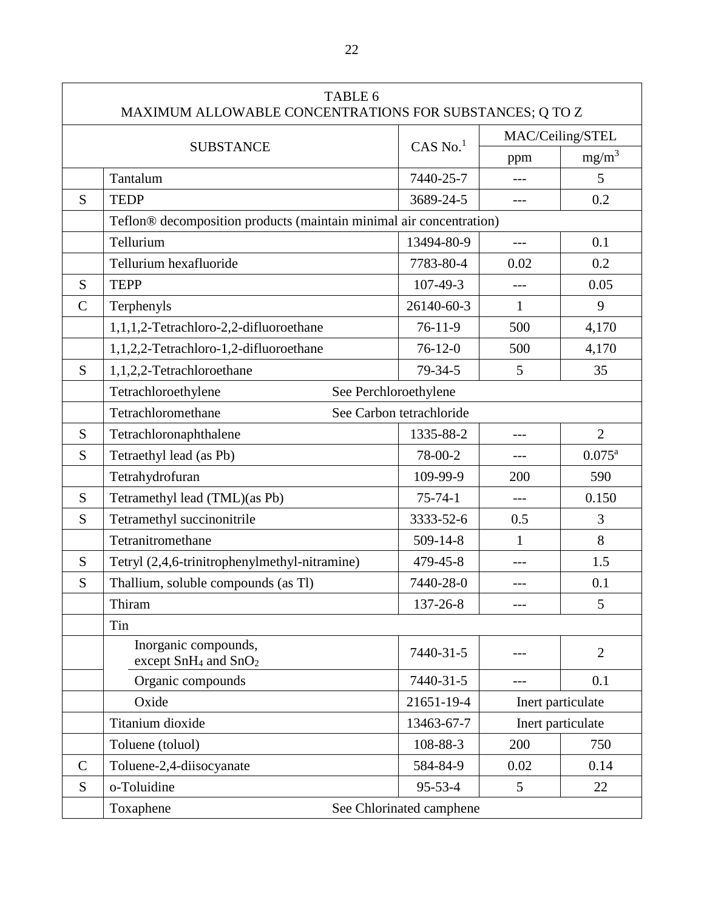| TABLE 6<br>MAXIMUM ALLOWABLE CONCENTRATIONS FOR SUBSTANCES; Q TO Z |                                                                      |                |                  |                    |
|--------------------------------------------------------------------|----------------------------------------------------------------------|----------------|------------------|--------------------|
|                                                                    |                                                                      |                | MAC/Ceiling/STEL |                    |
|                                                                    | <b>SUBSTANCE</b>                                                     | $CAS$ No. $1$  | ppm              | $mg/m^3$           |
|                                                                    | Tantalum                                                             | 7440-25-7      | $---$            | 5                  |
| S                                                                  | <b>TEDP</b>                                                          | 3689-24-5      | $---$            | 0.2                |
|                                                                    | Teflon® decomposition products (maintain minimal air concentration)  |                |                  |                    |
|                                                                    | Tellurium                                                            | 13494-80-9     | $---$            | 0.1                |
|                                                                    | Tellurium hexafluoride                                               | 7783-80-4      | 0.02             | 0.2                |
| S                                                                  | <b>TEPP</b>                                                          | $107 - 49 - 3$ |                  | 0.05               |
| $\mathcal{C}$                                                      | Terphenyls                                                           | 26140-60-3     | $\mathbf{1}$     | 9                  |
|                                                                    | 1,1,1,2-Tetrachloro-2,2-difluoroethane                               | $76-11-9$      | 500              | 4,170              |
|                                                                    | 1,1,2,2-Tetrachloro-1,2-difluoroethane                               | $76-12-0$      | 500              | 4,170              |
| S                                                                  | 1,1,2,2-Tetrachloroethane                                            | $79 - 34 - 5$  | 5                | 35                 |
|                                                                    | See Perchloroethylene<br>Tetrachloroethylene                         |                |                  |                    |
|                                                                    | Tetrachloromethane<br>See Carbon tetrachloride                       |                |                  |                    |
| S                                                                  | Tetrachloronaphthalene                                               | 1335-88-2      | $---$            | $\overline{2}$     |
| S                                                                  | Tetraethyl lead (as Pb)                                              | 78-00-2        | ---              | $0.075^{\text{a}}$ |
|                                                                    | Tetrahydrofuran                                                      | 109-99-9       | 200              | 590                |
| S                                                                  | Tetramethyl lead (TML)(as Pb)                                        | $75 - 74 - 1$  |                  | 0.150              |
| S                                                                  | Tetramethyl succinonitrile                                           | 3333-52-6      | 0.5              | 3                  |
|                                                                    | Tetranitromethane                                                    | $509 - 14 - 8$ | $\mathbf{1}$     | 8                  |
| S                                                                  | Tetryl (2,4,6-trinitrophenylmethyl-nitramine)                        | 479-45-8       |                  | 1.5                |
| S                                                                  | Thallium, soluble compounds (as Tl)                                  | 7440-28-0      |                  | 0.1                |
|                                                                    | Thiram                                                               | 137-26-8       |                  | 5                  |
|                                                                    | Tin                                                                  |                |                  |                    |
|                                                                    | Inorganic compounds,<br>except SnH <sub>4</sub> and SnO <sub>2</sub> | 7440-31-5      |                  | $\overline{2}$     |
|                                                                    | Organic compounds                                                    | 7440-31-5      | ---              | 0.1                |
|                                                                    | Oxide                                                                | 21651-19-4     |                  | Inert particulate  |
|                                                                    | Titanium dioxide                                                     | 13463-67-7     |                  | Inert particulate  |
|                                                                    | Toluene (toluol)                                                     | 108-88-3       | 200              | 750                |
| $\mathbf C$                                                        | Toluene-2,4-diisocyanate                                             | 584-84-9       | 0.02             | 0.14               |
| S                                                                  | o-Toluidine                                                          | $95 - 53 - 4$  | 5                | 22                 |
|                                                                    | See Chlorinated camphene<br>Toxaphene                                |                |                  |                    |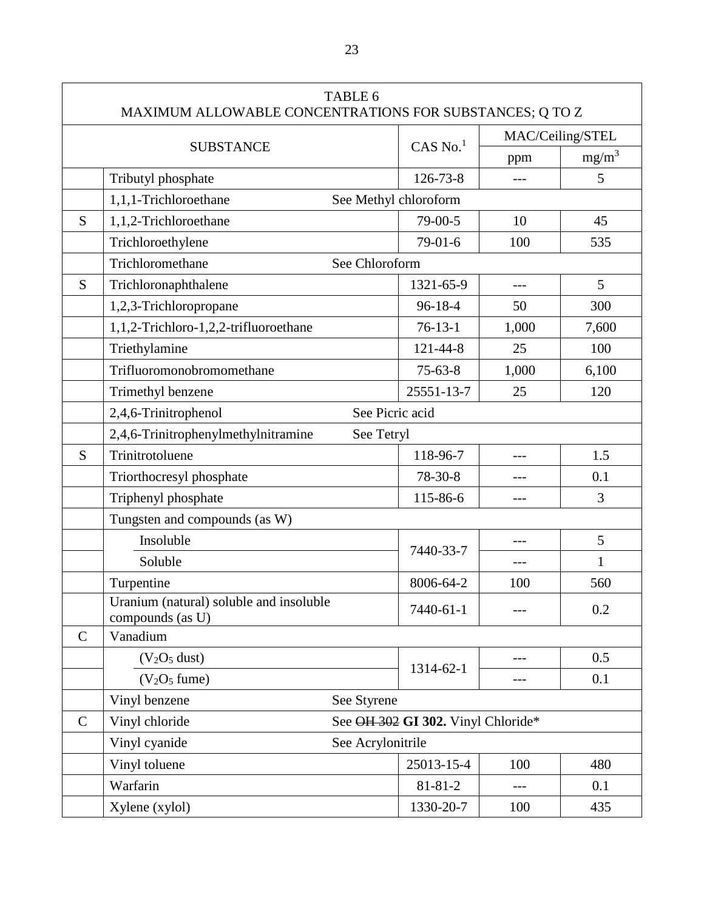| TABLE 6<br>MAXIMUM ALLOWABLE CONCENTRATIONS FOR SUBSTANCES; Q TO Z |                                                             |                                    |                       |                  |       |
|--------------------------------------------------------------------|-------------------------------------------------------------|------------------------------------|-----------------------|------------------|-------|
|                                                                    |                                                             |                                    |                       | MAC/Ceiling/STEL |       |
|                                                                    | <b>SUBSTANCE</b>                                            | $CAS$ No. $1$                      | ppm                   | $mg/m^3$         |       |
|                                                                    | Tributyl phosphate                                          |                                    | $126 - 73 - 8$        | $---$            | 5     |
|                                                                    | 1,1,1-Trichloroethane                                       |                                    | See Methyl chloroform |                  |       |
| S                                                                  | 1,1,2-Trichloroethane                                       |                                    | 79-00-5               | 10               | 45    |
|                                                                    | Trichloroethylene                                           |                                    | $79-01-6$             | 100              | 535   |
|                                                                    | Trichloromethane                                            | See Chloroform                     |                       |                  |       |
| S                                                                  | Trichloronaphthalene                                        |                                    | 1321-65-9             |                  | 5     |
|                                                                    | 1,2,3-Trichloropropane                                      |                                    | $96 - 18 - 4$         | 50               | 300   |
|                                                                    | 1,1,2-Trichloro-1,2,2-trifluoroethane                       |                                    | $76-13-1$             | 1,000            | 7,600 |
|                                                                    | Triethylamine                                               |                                    | 121-44-8              | 25               | 100   |
|                                                                    | Trifluoromonobromomethane                                   |                                    | $75 - 63 - 8$         | 1,000            | 6,100 |
|                                                                    | Trimethyl benzene                                           |                                    | 25551-13-7            | 25               | 120   |
|                                                                    | 2,4,6-Trinitrophenol                                        | See Picric acid                    |                       |                  |       |
|                                                                    | 2,4,6-Trinitrophenylmethylnitramine                         | See Tetryl                         |                       |                  |       |
| S                                                                  | Trinitrotoluene                                             |                                    | 118-96-7              | ---              | 1.5   |
|                                                                    | Triorthocresyl phosphate                                    |                                    | 78-30-8               |                  | 0.1   |
|                                                                    | Triphenyl phosphate                                         |                                    | 115-86-6              |                  | 3     |
|                                                                    | Tungsten and compounds (as W)                               |                                    |                       |                  |       |
|                                                                    | Insoluble                                                   |                                    | 7440-33-7             |                  | 5     |
|                                                                    | Soluble                                                     |                                    |                       |                  | 1     |
|                                                                    | Turpentine                                                  |                                    | 8006-64-2             | 100              | 560   |
|                                                                    | Uranium (natural) soluble and insoluble<br>compounds (as U) |                                    | 7440-61-1             |                  | 0.2   |
| $\mathbf C$                                                        | Vanadium                                                    |                                    |                       |                  |       |
|                                                                    | (V <sub>2</sub> O <sub>5</sub> dust)                        |                                    |                       |                  | 0.5   |
|                                                                    | $(V2O5$ fume)                                               |                                    | 1314-62-1             |                  | 0.1   |
|                                                                    | Vinyl benzene                                               | See Styrene                        |                       |                  |       |
| $\mathcal{C}$                                                      | Vinyl chloride                                              | See OH 302 GI 302. Vinyl Chloride* |                       |                  |       |
|                                                                    | Vinyl cyanide                                               | See Acrylonitrile                  |                       |                  |       |
|                                                                    | Vinyl toluene                                               |                                    | 25013-15-4            | 100              | 480   |
|                                                                    | Warfarin                                                    |                                    | $81 - 81 - 2$         | $---$            | 0.1   |
|                                                                    | Xylene (xylol)                                              |                                    | 1330-20-7             | 100              | 435   |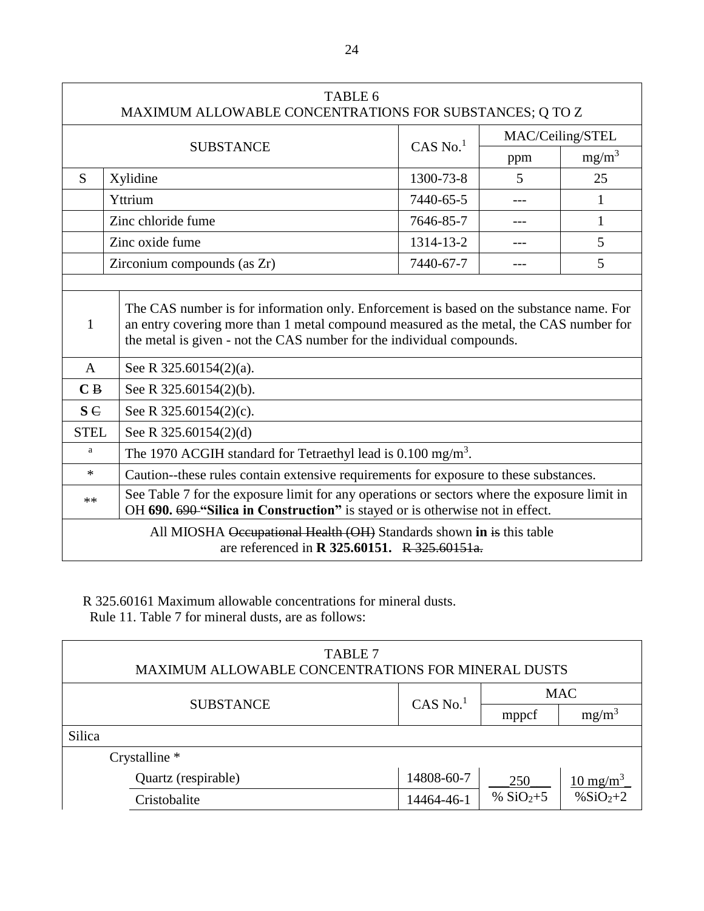| TABLE 6<br>MAXIMUM ALLOWABLE CONCENTRATIONS FOR SUBSTANCES; Q TO Z                                                          |                                                                                                                                                                                                                     |                        |                  |          |  |
|-----------------------------------------------------------------------------------------------------------------------------|---------------------------------------------------------------------------------------------------------------------------------------------------------------------------------------------------------------------|------------------------|------------------|----------|--|
|                                                                                                                             |                                                                                                                                                                                                                     |                        | MAC/Ceiling/STEL |          |  |
|                                                                                                                             | <b>SUBSTANCE</b>                                                                                                                                                                                                    | $CAS$ No. <sup>1</sup> | ppm              | $mg/m^3$ |  |
| S                                                                                                                           | Xylidine                                                                                                                                                                                                            | 1300-73-8              | 5                | 25       |  |
|                                                                                                                             | Yttrium                                                                                                                                                                                                             | 7440-65-5              |                  | 1        |  |
|                                                                                                                             | Zinc chloride fume                                                                                                                                                                                                  | 7646-85-7              |                  | 1        |  |
|                                                                                                                             | Zinc oxide fume                                                                                                                                                                                                     | 1314-13-2              |                  | 5        |  |
|                                                                                                                             | Zirconium compounds (as Zr)                                                                                                                                                                                         | 7440-67-7              |                  | 5        |  |
| 1<br>$\mathsf{A}$<br>C <sub>B</sub><br><b>S</b> C                                                                           | an entry covering more than 1 metal compound measured as the metal, the CAS number for<br>the metal is given - not the CAS number for the individual compounds.<br>See R 325.60154(2)(a).<br>See R 325.60154(2)(b). |                        |                  |          |  |
| <b>STEL</b>                                                                                                                 | See R 325.60154(2)(c).<br>See R 325.60154(2)(d)                                                                                                                                                                     |                        |                  |          |  |
| a                                                                                                                           | The 1970 ACGIH standard for Tetraethyl lead is $0.100$ mg/m <sup>3</sup> .                                                                                                                                          |                        |                  |          |  |
| $\ast$                                                                                                                      | Caution--these rules contain extensive requirements for exposure to these substances.                                                                                                                               |                        |                  |          |  |
| **                                                                                                                          | See Table 7 for the exposure limit for any operations or sectors where the exposure limit in<br>OH 690. 690 "Silica in Construction" is stayed or is otherwise not in effect.                                       |                        |                  |          |  |
| All MIOSHA Occupational Health (OH) Standards shown in is this table<br>are referenced in <b>R</b> 325.60151. R 325.60151a. |                                                                                                                                                                                                                     |                        |                  |          |  |

R 325.60161 Maximum allowable concentrations for mineral dusts. Rule 11. Table 7 for mineral dusts, are as follows:

| <b>TABLE 7</b><br><b>MAXIMUM ALLOWABLE CONCENTRATIONS FOR MINERAL DUSTS</b> |               |            |                               |  |  |
|-----------------------------------------------------------------------------|---------------|------------|-------------------------------|--|--|
| <b>SUBSTANCE</b>                                                            | $CAS$ No. $1$ | <b>MAC</b> |                               |  |  |
|                                                                             |               | mppcf      | $mg/m^3$                      |  |  |
| Silica                                                                      |               |            |                               |  |  |
| Crystalline *                                                               |               |            |                               |  |  |
| Quartz (respirable)                                                         | 14808-60-7    | 250        | $\frac{10 \text{ mg/m}^3}{2}$ |  |  |
| Cristobalite                                                                | 14464-46-1    | % $SiO2+5$ | % $SiO2+2$                    |  |  |